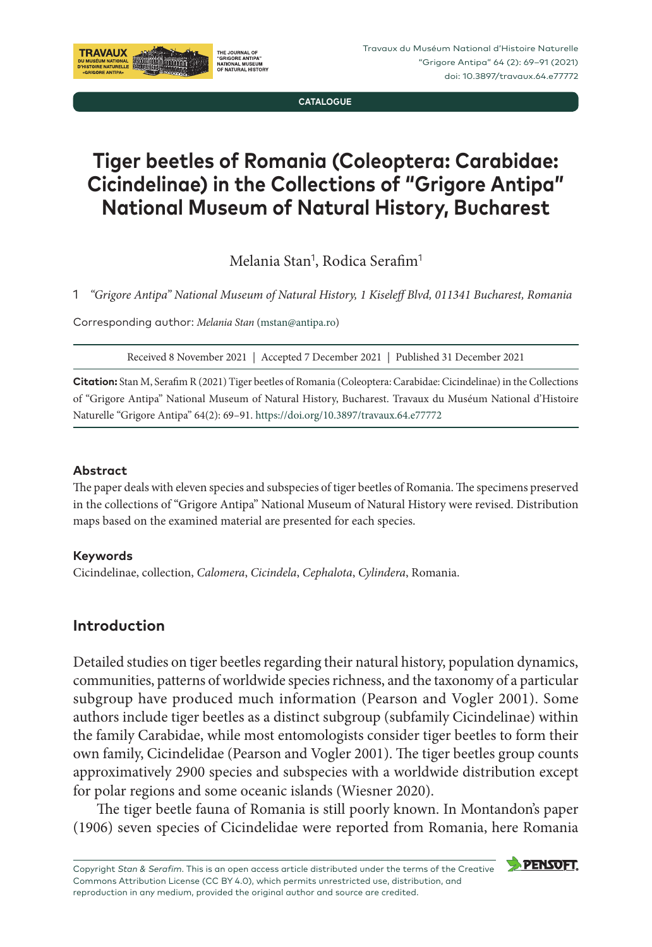**CATALOGUE**

# **Tiger beetles of Romania (Coleoptera: Carabidae: Cicindelinae) in the Collections of "Grigore Antipa" National Museum of Natural History, Bucharest**

Melania Stan<sup>1</sup>, Rodica Serafim<sup>1</sup>

1 *"Grigore Antipa" National Museum of Natural History, 1 Kiseleff Blvd, 011341 Bucharest, Romania*

Corresponding author: *Melania Stan* [\(mstan@antipa.ro\)](mailto:mstan@antipa.ro)

Received 8 November 2021 | Accepted 7 December 2021 | Published 31 December 2021

**Citation:** Stan M, Serafim R (2021) Tiger beetles of Romania (Coleoptera: Carabidae: Cicindelinae) in the Collections of "Grigore Antipa" National Museum of Natural History, Bucharest. Travaux du Muséum National d'Histoire Naturelle "Grigore Antipa" 64(2): 69–91. <https://doi.org/10.3897/travaux.64.e77772>

#### **Abstract**

The paper deals with eleven species and subspecies of tiger beetles of Romania. The specimens preserved in the collections of "Grigore Antipa" National Museum of Natural History were revised. Distribution maps based on the examined material are presented for each species.

#### **Keywords**

Cicindelinae, collection, *Calomera*, *Cicindela*, *Cephalota*, *Cylindera*, Romania.

# **Introduction**

Detailed studies on tiger beetles regarding their natural history, population dynamics, communities, patterns of worldwide species richness, and the taxonomy of a particular subgroup have produced much information (Pearson and Vogler 2001). Some authors include tiger beetles as a distinct subgroup (subfamily Cicindelinae) within the family Carabidae, while most entomologists consider tiger beetles to form their own family, Cicindelidae (Pearson and Vogler 2001). The tiger beetles group counts approximatively 2900 species and subspecies with a worldwide distribution except for polar regions and some oceanic islands (Wiesner 2020).

The tiger beetle fauna of Romania is still poorly known. In Montandon's paper (1906) seven species of Cicindelidae were reported from Romania, here Romania

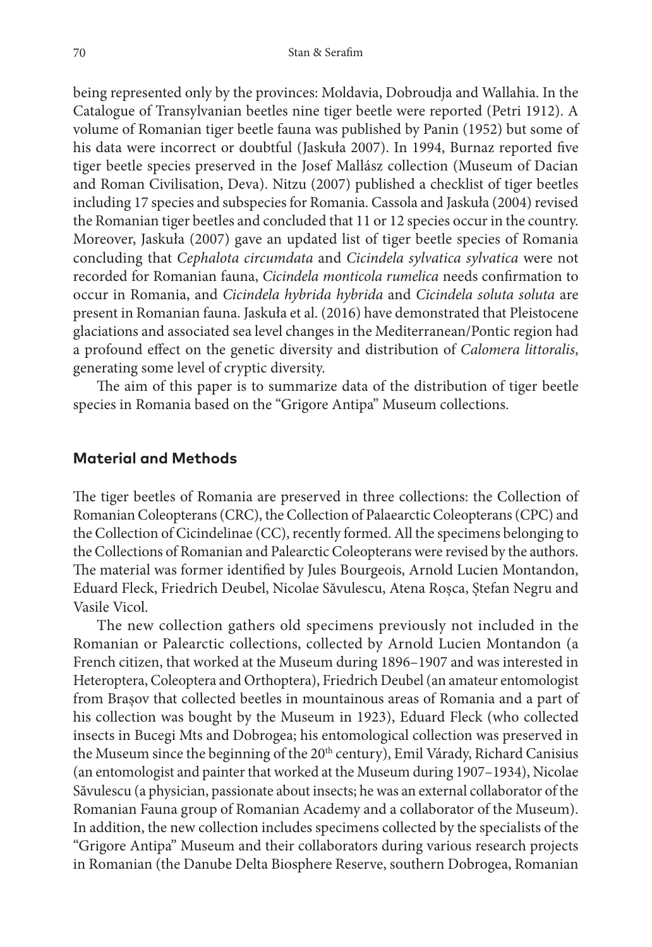being represented only by the provinces: Moldavia, Dobroudja and Wallahia. In the Catalogue of Transylvanian beetles nine tiger beetle were reported (Petri 1912). A volume of Romanian tiger beetle fauna was published by Panin (1952) but some of his data were incorrect or doubtful (Jaskuła 2007). In 1994, Burnaz reported five tiger beetle species preserved in the Josef Mallász collection (Museum of Dacian and Roman Civilisation, Deva). Nitzu (2007) published a checklist of tiger beetles including 17 species and subspecies for Romania. Cassola and Jaskuła (2004) revised the Romanian tiger beetles and concluded that 11 or 12 species occur in the country. Moreover, Jaskuła (2007) gave an updated list of tiger beetle species of Romania concluding that *Cephalota circumdata* and *Cicindela sylvatica sylvatica* were not recorded for Romanian fauna, *Cicindela monticola rumelica* needs confirmation to occur in Romania, and *Cicindela hybrida hybrida* and *Cicindela soluta soluta* are present in Romanian fauna. Jaskuła et al. (2016) have demonstrated that Pleistocene glaciations and associated sea level changes in the Mediterranean/Pontic region had a profound effect on the genetic diversity and distribution of *Calomera littoralis*, generating some level of cryptic diversity.

The aim of this paper is to summarize data of the distribution of tiger beetle species in Romania based on the "Grigore Antipa" Museum collections.

#### **Material and Methods**

The tiger beetles of Romania are preserved in three collections: the Collection of Romanian Coleopterans (CRC), the Collection of Palaearctic Coleopterans (CPC) and the Collection of Cicindelinae (CC), recently formed. All the specimens belonging to the Collections of Romanian and Palearctic Coleopterans were revised by the authors. The material was former identified by Jules Bourgeois, Arnold Lucien Montandon, Eduard Fleck, Friedrich Deubel, Nicolae Săvulescu, Atena Roșca, Ștefan Negru and Vasile Vicol.

The new collection gathers old specimens previously not included in the Romanian or Palearctic collections, collected by Arnold Lucien Montandon (a French citizen, that worked at the Museum during 1896–1907 and was interested in Heteroptera, Coleoptera and Orthoptera), Friedrich Deubel (an amateur entomologist from Brașov that collected beetles in mountainous areas of Romania and a part of his collection was bought by the Museum in 1923), Eduard Fleck (who collected insects in Bucegi Mts and Dobrogea; his entomological collection was preserved in the Museum since the beginning of the 20<sup>th</sup> century), Emil Várady, Richard Canisius (an entomologist and painter that worked at the Museum during 1907–1934), Nicolae Săvulescu (a physician, passionate about insects; he was an external collaborator of the Romanian Fauna group of Romanian Academy and a collaborator of the Museum). In addition, the new collection includes specimens collected by the specialists of the "Grigore Antipa" Museum and their collaborators during various research projects in Romanian (the Danube Delta Biosphere Reserve, southern Dobrogea, Romanian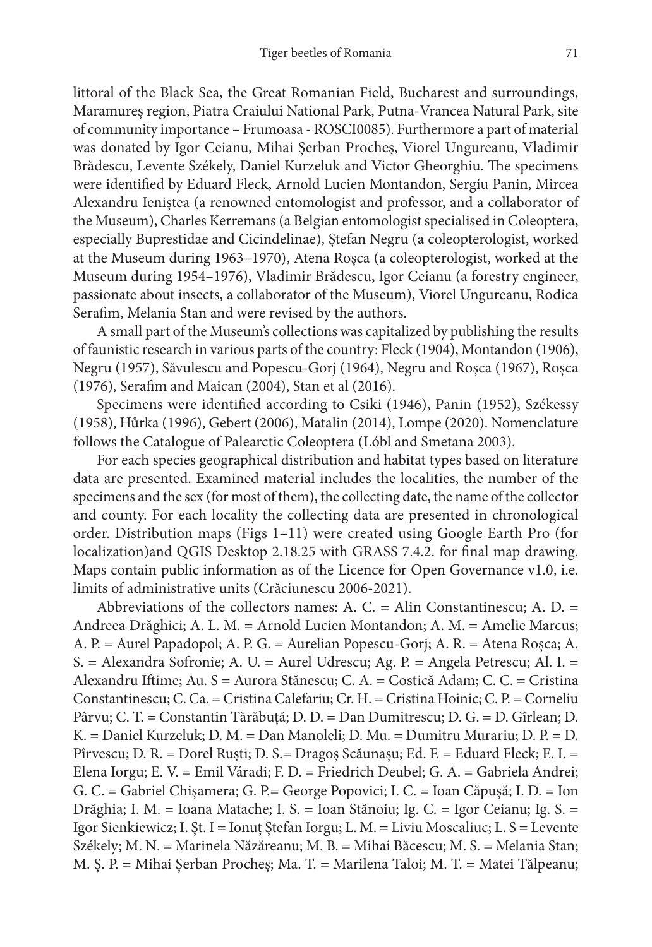littoral of the Black Sea, the Great Romanian Field, Bucharest and surroundings, Maramureș region, Piatra Craiului National Park, Putna-Vrancea Natural Park, site of community importance – Frumoasa - ROSCI0085). Furthermore a part of material was donated by Igor Ceianu, Mihai Șerban Procheș, Viorel Ungureanu, Vladimir Brădescu, Levente Székely, Daniel Kurzeluk and Victor Gheorghiu. The specimens were identified by Eduard Fleck, Arnold Lucien Montandon, Sergiu Panin, Mircea Alexandru Ieniștea (a renowned entomologist and professor, and a collaborator of the Museum), Charles Kerremans (a Belgian entomologist specialised in Coleoptera, especially Buprestidae and Cicindelinae), Ștefan Negru (a coleopterologist, worked at the Museum during 1963–1970), Atena Roșca (a coleopterologist, worked at the Museum during 1954–1976), Vladimir Brădescu, Igor Ceianu (a forestry engineer, passionate about insects, a collaborator of the Museum), Viorel Ungureanu, Rodica Serafim, Melania Stan and were revised by the authors.

A small part of the Museum's collections was capitalized by publishing the results of faunistic research in various parts of the country: Fleck (1904), Montandon (1906), Negru (1957), Săvulescu and Popescu-Gorj (1964), Negru and Roșca (1967), Roșca (1976), Serafim and Maican (2004), Stan et al (2016).

Specimens were identified according to Csiki (1946), Panin (1952), Székessy (1958), Hůrka (1996), Gebert (2006), Matalin (2014), Lompe (2020). Nomenclature follows the Catalogue of Palearctic Coleoptera (Lóbl and Smetana 2003).

For each species geographical distribution and habitat types based on literature data are presented. Examined material includes the localities, the number of the specimens and the sex (for most of them), the collecting date, the name of the collector and county. For each locality the collecting data are presented in chronological order. Distribution maps (Figs 1–11) were created using Google Earth Pro (for localization)and QGIS Desktop 2.18.25 with GRASS 7.4.2. for final map drawing. Maps contain public information as of the Licence for Open Governance v1.0, i.e. limits of administrative units (Crăciunescu 2006-2021).

Abbreviations of the collectors names: A. C. = Alin Constantinescu; A. D. = Andreea Drăghici; A. L. M. = Arnold Lucien Montandon; A. M. = Amelie Marcus; A. P. = Aurel Papadopol; A. P. G. = Aurelian Popescu-Gorj; A. R. = Atena Roșca; A. S. = Alexandra Sofronie; A. U. = Aurel Udrescu; Ag. P. = Angela Petrescu; Al. I. = Alexandru Iftime; Au. S = Aurora Stănescu; C. A. = Costică Adam; C. C. = Cristina Constantinescu; C. Ca. = Cristina Calefariu; Cr. H. = Cristina Hoinic; C. P. = Corneliu Pârvu; C. T. = Constantin Tărăbuță; D. D. = Dan Dumitrescu; D. G. = D. Gîrlean; D. K. = Daniel Kurzeluk; D. M. = Dan Manoleli; D. Mu. = Dumitru Murariu; D. P. = D. Pîrvescu; D. R. = Dorel Ruști; D. S.= Dragoș Scăunașu; Ed. F. = Eduard Fleck; E. I. = Elena Iorgu; E. V. = Emil Váradi; F. D. = Friedrich Deubel; G. A. = Gabriela Andrei; G. C. = Gabriel Chișamera; G. P.= George Popovici; I. C. = Ioan Căpușă; I. D. = Ion Drăghia; I. M. = Ioana Matache; I. S. = Ioan Stănoiu; Ig. C. = Igor Ceianu; Ig. S. = Igor Sienkiewicz; I. Șt. I = Ionuț Ștefan Iorgu; L. M. = Liviu Moscaliuc; L. S = Levente Székely; M. N. = Marinela Năzăreanu; M. B. = Mihai Băcescu; M. S. = Melania Stan; M. Ș. P. = Mihai Șerban Procheș; Ma. T. = Marilena Taloi; M. T. = Matei Tălpeanu;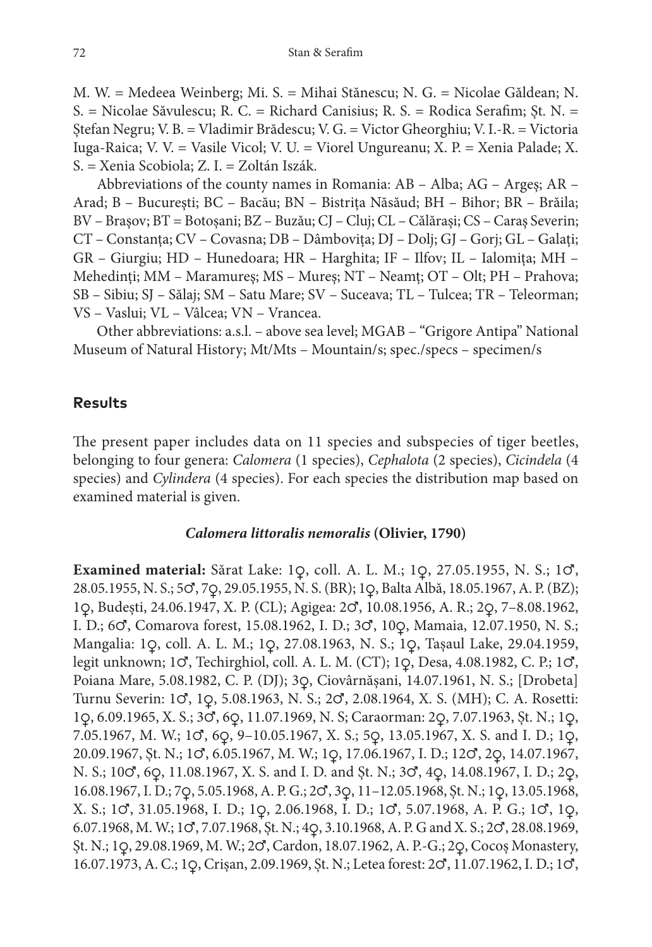M. W. = Medeea Weinberg; Mi. S. = Mihai Stănescu; N. G. = Nicolae Găldean; N. S. = Nicolae Săvulescu; R. C. = Richard Canisius; R. S. = Rodica Serafim; Șt. N. = Ștefan Negru; V. B. = Vladimir Brădescu; V. G. = Victor Gheorghiu; V. I.-R. = Victoria Iuga-Raica; V. V. = Vasile Vicol; V. U. = Viorel Ungureanu; X. P. = Xenia Palade; X. S. = Xenia Scobiola; Z. I. = Zoltán Iszák.

Abbreviations of the county names in Romania: AB – Alba; AG – Argeş; AR – Arad; B – Bucureşti; BC – Bacău; BN – Bistrița Năsăud; BH – Bihor; BR – Brăila; BV – Braşov; BT = Botoșani; BZ – Buzău; CJ – Cluj; CL – Călărași; CS – Caraş Severin; CT – Constanţa; CV – Covasna; DB – Dâmboviţa; DJ – Dolj; GJ – Gorj; GL – Galați; GR – Giurgiu; HD – Hunedoara; HR – Harghita; IF – Ilfov; IL – Ialomiţa; MH – Mehedinți; MM – Maramureș; MS – Mureș; NT – Neamț; OT – Olt; PH – Prahova; SB – Sibiu; SJ – Sălaj; SM – Satu Mare; SV – Suceava; TL – Tulcea; TR – Teleorman; VS – Vaslui; VL – Vâlcea; VN – Vrancea.

Other abbreviations: a.s.l. – above sea level; MGAB – "Grigore Antipa" National Museum of Natural History; Mt/Mts – Mountain/s; spec./specs – specimen/s

## **Results**

The present paper includes data on 11 species and subspecies of tiger beetles, belonging to four genera: *Calomera* (1 species), *Cephalota* (2 species), *Cicindela* (4 species) and *Cylindera* (4 species). For each species the distribution map based on examined material is given.

#### *Calomera littoralis nemoralis* **(Olivier, 1790)**

**Examined material:** Sărat Lake: 1♀, coll. A. L. M.; 1♀, 27.05.1955, N. S.; 1♂, 28.05.1955, N. S.; 5♂, 7♀, 29.05.1955, N. S. (BR); 1♀, Balta Albă, 18.05.1967, A. P. (BZ); 1♀, Budești, 24.06.1947, X. P. (CL); Agigea: 2♂, 10.08.1956, A. R.; 2♀, 7–8.08.1962, I. D.; 6♂, Comarova forest, 15.08.1962, I. D.; 3♂, 10♀, Mamaia, 12.07.1950, N. S.; Mangalia: 1♀, coll. A. L. M.; 1♀, 27.08.1963, N. S.; 1♀, Tașaul Lake, 29.04.1959, legit unknown; 1♂, Techirghiol, coll. A. L. M. (CT); 1♀, Desa, 4.08.1982, C. P.; 1♂, Poiana Mare, 5.08.1982, C. P. (DJ); 3♀, Ciovârnășani, 14.07.1961, N. S.; [Drobeta] Turnu Severin: 1♂, 1♀, 5.08.1963, N. S.; 2♂, 2.08.1964, X. S. (MH); C. A. Rosetti: 1♀, 6.09.1965, X. S.; 3♂, 6♀, 11.07.1969, N. S; Caraorman: 2♀, 7.07.1963, Șt. N.; 1♀, 7.05.1967, M. W.; 1♂, 6♀, 9–10.05.1967, X. S.; 5♀, 13.05.1967, X. S. and I. D.; 1♀, 20.09.1967, Șt. N.; 1♂, 6.05.1967, M. W.; 1♀, 17.06.1967, I. D.; 12♂, 2♀, 14.07.1967, N. S.; 10♂, 6♀, 11.08.1967, X. S. and I. D. and Șt. N.; 3♂, 4♀, 14.08.1967, I. D.; 2♀, 16.08.1967, I. D.; 7♀, 5.05.1968, A. P. G.; 2♂, 3♀, 11–12.05.1968, Șt. N.; 1♀, 13.05.1968, X. S.; 1♂, 31.05.1968, I. D.; 1♀, 2.06.1968, I. D.; 1♂, 5.07.1968, A. P. G.; 1♂, 1♀, 6.07.1968, M. W.; 1♂, 7.07.1968, Șt. N.; 4♀, 3.10.1968, A. P. G and X. S.; 2♂, 28.08.1969, Șt. N.; 1♀, 29.08.1969, M. W.; 2♂, Cardon, 18.07.1962, A. P.-G.; 2♀, Cocoș Monastery, 16.07.1973, A. C.; 1♀, Crișan, 2.09.1969, Șt. N.; Letea forest: 2♂, 11.07.1962, I. D.; 1♂,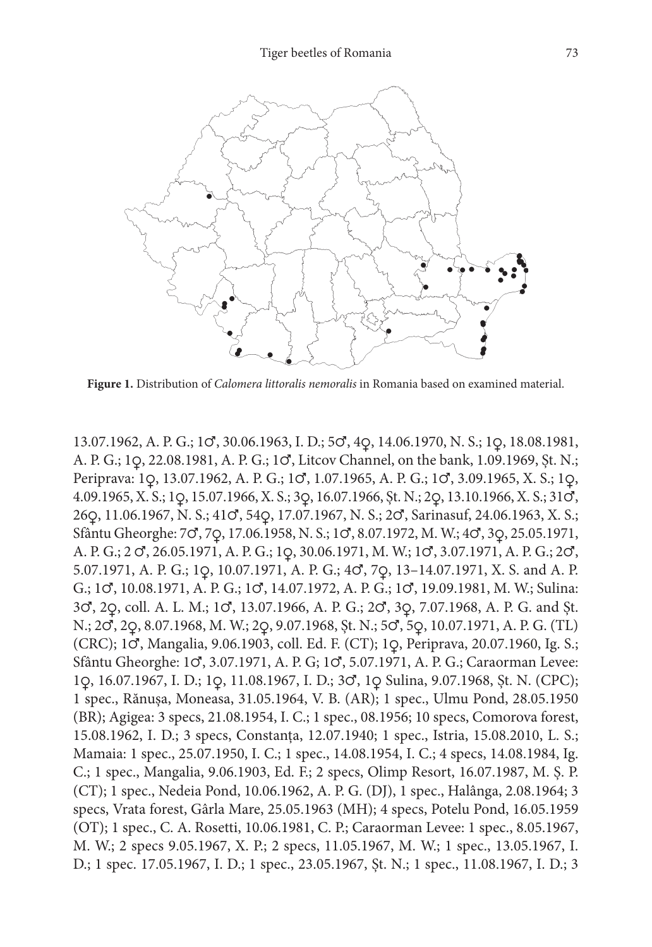

**Figure 1.** Distribution of *Calomera littoralis nemoralis* in Romania based on examined material.

13.07.1962, A. P. G.; 1♂, 30.06.1963, I. D.; 5♂, 4♀, 14.06.1970, N. S.; 1♀, 18.08.1981, A. P. G.; 1♀, 22.08.1981, A. P. G.; 1♂, Litcov Channel, on the bank, 1.09.1969, Șt. N.; Periprava: 1♀, 13.07.1962, A. P. G.; 1♂, 1.07.1965, A. P. G.; 1♂, 3.09.1965, X. S.; 1♀, 4.09.1965, X. S.; 1♀, 15.07.1966, X. S.; 3♀, 16.07.1966, Șt. N.; 2♀, 13.10.1966, X. S.; 31♂, 26♀, 11.06.1967, N. S.; 41♂, 54♀, 17.07.1967, N. S.; 2♂, Sarinasuf, 24.06.1963, X. S.; Sfântu Gheorghe: 7♂, 7♀, 17.06.1958, N. S.; 1♂, 8.07.1972, M. W.; 4♂, 3♀, 25.05.1971, A. P. G.; 2 ♂, 26.05.1971, A. P. G.; 1♀, 30.06.1971, M. W.; 1♂, 3.07.1971, A. P. G.; 2♂, 5.07.1971, A. P. G.; 1♀, 10.07.1971, A. P. G.; 4♂, 7♀, 13–14.07.1971, X. S. and A. P. G.; 1♂, 10.08.1971, A. P. G.; 1♂, 14.07.1972, A. P. G.; 1♂, 19.09.1981, M. W.; Sulina: 3♂, 2♀, coll. A. L. M.; 1♂, 13.07.1966, A. P. G.; 2♂, 3♀, 7.07.1968, A. P. G. and Șt. N.; 2♂, 2♀, 8.07.1968, M. W.; 2♀, 9.07.1968, Șt. N.; 5♂, 5♀, 10.07.1971, A. P. G. (TL) (CRC); 1♂, Mangalia, 9.06.1903, coll. Ed. F. (CT); 1♀, Periprava, 20.07.1960, Ig. S.; Sfântu Gheorghe: 1♂, 3.07.1971, A. P. G; 1♂, 5.07.1971, A. P. G.; Caraorman Levee: 1♀, 16.07.1967, I. D.; 1♀, 11.08.1967, I. D.; 3♂, 1♀ Sulina, 9.07.1968, Șt. N. (CPC); 1 spec., Rănușa, Moneasa, 31.05.1964, V. B. (AR); 1 spec., Ulmu Pond, 28.05.1950 (BR); Agigea: 3 specs, 21.08.1954, I. C.; 1 spec., 08.1956; 10 specs, Comorova forest, 15.08.1962, I. D.; 3 specs, Constanța, 12.07.1940; 1 spec., Istria, 15.08.2010, L. S.; Mamaia: 1 spec., 25.07.1950, I. C.; 1 spec., 14.08.1954, I. C.; 4 specs, 14.08.1984, Ig. C.; 1 spec., Mangalia, 9.06.1903, Ed. F.; 2 specs, Olimp Resort, 16.07.1987, M. Ș. P. (CT); 1 spec., Nedeia Pond, 10.06.1962, A. P. G. (DJ), 1 spec., Halânga, 2.08.1964; 3 specs, Vrata forest, Gârla Mare, 25.05.1963 (MH); 4 specs, Potelu Pond, 16.05.1959 (OT); 1 spec., C. A. Rosetti, 10.06.1981, C. P.; Caraorman Levee: 1 spec., 8.05.1967, M. W.; 2 specs 9.05.1967, X. P.; 2 specs, 11.05.1967, M. W.; 1 spec., 13.05.1967, I. D.; 1 spec. 17.05.1967, I. D.; 1 spec., 23.05.1967, Șt. N.; 1 spec., 11.08.1967, I. D.; 3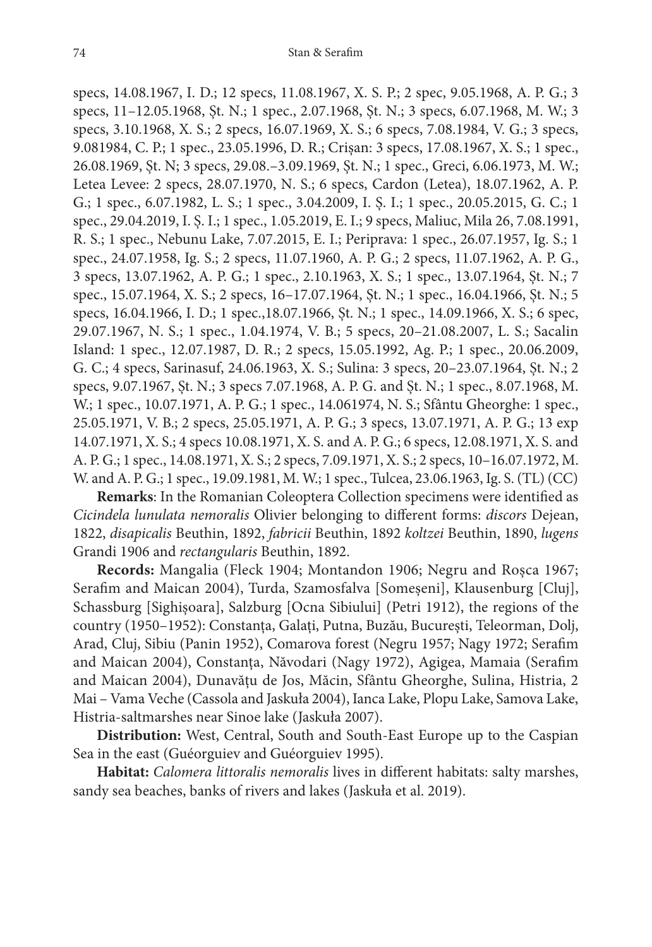specs, 14.08.1967, I. D.; 12 specs, 11.08.1967, X. S. P.; 2 spec, 9.05.1968, A. P. G.; 3 specs, 11–12.05.1968, Șt. N.; 1 spec., 2.07.1968, Șt. N.; 3 specs, 6.07.1968, M. W.; 3 specs, 3.10.1968, X. S.; 2 specs, 16.07.1969, X. S.; 6 specs, 7.08.1984, V. G.; 3 specs, 9.081984, C. P.; 1 spec., 23.05.1996, D. R.; Crișan: 3 specs, 17.08.1967, X. S.; 1 spec., 26.08.1969, Șt. N; 3 specs, 29.08.–3.09.1969, Șt. N.; 1 spec., Greci, 6.06.1973, M. W.; Letea Levee: 2 specs, 28.07.1970, N. S.; 6 specs, Cardon (Letea), 18.07.1962, A. P. G.; 1 spec., 6.07.1982, L. S.; 1 spec., 3.04.2009, I. Ș. I.; 1 spec., 20.05.2015, G. C.; 1 spec., 29.04.2019, I. Ș. I.; 1 spec., 1.05.2019, E. I.; 9 specs, Maliuc, Mila 26, 7.08.1991, R. S.; 1 spec., Nebunu Lake, 7.07.2015, E. I.; Periprava: 1 spec., 26.07.1957, Ig. S.; 1 spec., 24.07.1958, Ig. S.; 2 specs, 11.07.1960, A. P. G.; 2 specs, 11.07.1962, A. P. G., 3 specs, 13.07.1962, A. P. G.; 1 spec., 2.10.1963, X. S.; 1 spec., 13.07.1964, Șt. N.; 7 spec., 15.07.1964, X. S.; 2 specs, 16–17.07.1964, Șt. N.; 1 spec., 16.04.1966, Șt. N.; 5 specs, 16.04.1966, I. D.; 1 spec.,18.07.1966, Șt. N.; 1 spec., 14.09.1966, X. S.; 6 spec, 29.07.1967, N. S.; 1 spec., 1.04.1974, V. B.; 5 specs, 20–21.08.2007, L. S.; Sacalin Island: 1 spec., 12.07.1987, D. R.; 2 specs, 15.05.1992, Ag. P.; 1 spec., 20.06.2009, G. C.; 4 specs, Sarinasuf, 24.06.1963, X. S.; Sulina: 3 specs, 20–23.07.1964, Șt. N.; 2 specs, 9.07.1967, Șt. N.; 3 specs 7.07.1968, A. P. G. and Șt. N.; 1 spec., 8.07.1968, M. W.; 1 spec., 10.07.1971, A. P. G.; 1 spec., 14.061974, N. S.; Sfântu Gheorghe: 1 spec., 25.05.1971, V. B.; 2 specs, 25.05.1971, A. P. G.; 3 specs, 13.07.1971, A. P. G.; 13 exp 14.07.1971, X. S.; 4 specs 10.08.1971, X. S. and A. P. G.; 6 specs, 12.08.1971, X. S. and A. P. G.; 1 spec., 14.08.1971, X. S.; 2 specs, 7.09.1971, X. S.; 2 specs, 10–16.07.1972, M. W. and A. P. G.; 1 spec., 19.09.1981, M. W.; 1 spec., Tulcea, 23.06.1963, Ig. S. (TL) (CC)

**Remarks**: In the Romanian Coleoptera Collection specimens were identified as *Cicindela lunulata nemoralis* Olivier belonging to different forms: *discors* Dejean, 1822, *disapicalis* Beuthin, 1892, *fabricii* Beuthin, 1892 *koltzei* Beuthin, 1890, *lugens* Grandi 1906 and *rectangularis* Beuthin, 1892.

**Records:** Mangalia (Fleck 1904; Montandon 1906; Negru and Roșca 1967; Serafim and Maican 2004), Turda, Szamosfalva [Someșeni], Klausenburg [Cluj], Schassburg [Sighișoara], Salzburg [Ocna Sibiului] (Petri 1912), the regions of the country (1950–1952): Constanța, Galați, Putna, Buzău, București, Teleorman, Dolj, Arad, Cluj, Sibiu (Panin 1952), Comarova forest (Negru 1957; Nagy 1972; Serafim and Maican 2004), Constanța, Năvodari (Nagy 1972), Agigea, Mamaia (Serafim and Maican 2004), Dunavățu de Jos, Măcin, Sfântu Gheorghe, Sulina, Histria, 2 Mai – Vama Veche (Cassola and Jaskuła 2004), Ianca Lake, Plopu Lake, Samova Lake, Histria-saltmarshes near Sinoe lake (Jaskuła 2007).

**Distribution:** West, Central, South and South-East Europe up to the Caspian Sea in the east (Guéorguiev and Guéorguiev 1995).

**Habitat:** *Calomera littoralis nemoralis* lives in different habitats: salty marshes, sandy sea beaches, banks of rivers and lakes (Jaskuła et al. 2019).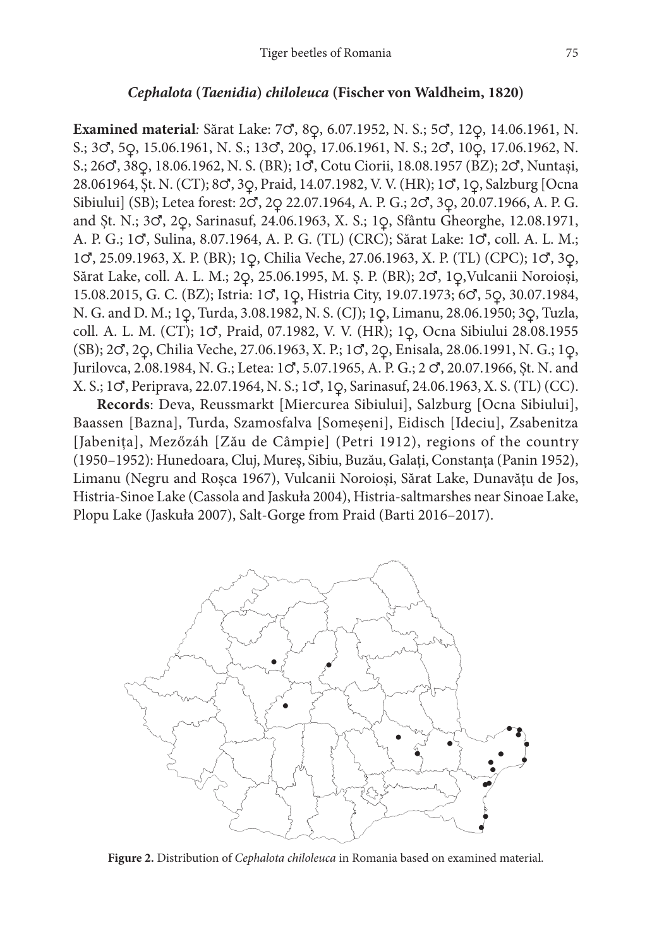#### *Cephalota* **(***Taenidia***)** *chiloleuca* **(Fischer von Waldheim, 1820)**

**Examined material***:* Sărat Lake: 7♂, 8♀, 6.07.1952, N. S.; 5♂, 12♀, 14.06.1961, N. S.; 3♂, 5♀, 15.06.1961, N. S.; 13♂, 20♀, 17.06.1961, N. S.; 2♂, 10♀, 17.06.1962, N. S.; 26♂, 38♀, 18.06.1962, N. S. (BR); 1♂, Cotu Ciorii, 18.08.1957 (BZ); 2♂, Nuntași, 28.061964, Șt. N. (CT); 8♂, 3♀, Praid, 14.07.1982, V. V. (HR); 1♂, 1♀, Salzburg [Ocna Sibiului] (SB); Letea forest: 2♂, 2♀ 22.07.1964, A. P. G.; 2♂, 3♀, 20.07.1966, A. P. G. and Șt. N.; 3♂, 2♀, Sarinasuf, 24.06.1963, X. S.; 1♀, Sfântu Gheorghe, 12.08.1971, A. P. G.; 1♂, Sulina, 8.07.1964, A. P. G. (TL) (CRC); Sărat Lake: 1♂, coll. A. L. M.; 1♂, 25.09.1963, X. P. (BR); 1♀, Chilia Veche, 27.06.1963, X. P. (TL) (CPC); 1♂, 3♀, Sărat Lake, coll. A. L. M.; 2♀, 25.06.1995, M. Ș. P. (BR); 2♂, 1♀,Vulcanii Noroioși, 15.08.2015, G. C. (BZ); Istria: 1♂, 1♀, Histria City, 19.07.1973; 6♂, 5♀, 30.07.1984, N. G. and D. M.; 1♀, Turda, 3.08.1982, N. S. (CJ); 1♀, Limanu, 28.06.1950; 3♀, Tuzla, coll. A. L. M. (CT); 1♂, Praid, 07.1982, V. V. (HR); 1♀, Ocna Sibiului 28.08.1955 (SB); 2♂, 2♀, Chilia Veche, 27.06.1963, X. P.; 1♂, 2♀, Enisala, 28.06.1991, N. G.; 1♀, Jurilovca, 2.08.1984, N. G.; Letea: 1♂, 5.07.1965, A. P. G.; 2 ♂, 20.07.1966, Șt. N. and X. S.; 1♂, Periprava, 22.07.1964, N. S.; 1♂, 1♀, Sarinasuf, 24.06.1963, X. S. (TL) (CC).

**Records**: Deva, Reussmarkt [Miercurea Sibiului], Salzburg [Ocna Sibiului], Baassen [Bazna], Turda, Szamosfalva [Someșeni], Eidisch [Ideciu], Zsabenitza [Jabenița], Mezőzáh [Zău de Câmpie] (Petri 1912), regions of the country (1950–1952): Hunedoara, Cluj, Mureș, Sibiu, Buzău, Galați, Constanța (Panin 1952), Limanu (Negru and Roșca 1967), Vulcanii Noroioși, Sărat Lake, Dunavățu de Jos, Histria-Sinoe Lake (Cassola and Jaskuła 2004), Histria-saltmarshes near Sinoae Lake, Plopu Lake (Jaskuła 2007), Salt-Gorge from Praid (Barti 2016–2017).



**Figure 2.** Distribution of *Cephalota chiloleuca* in Romania based on examined material.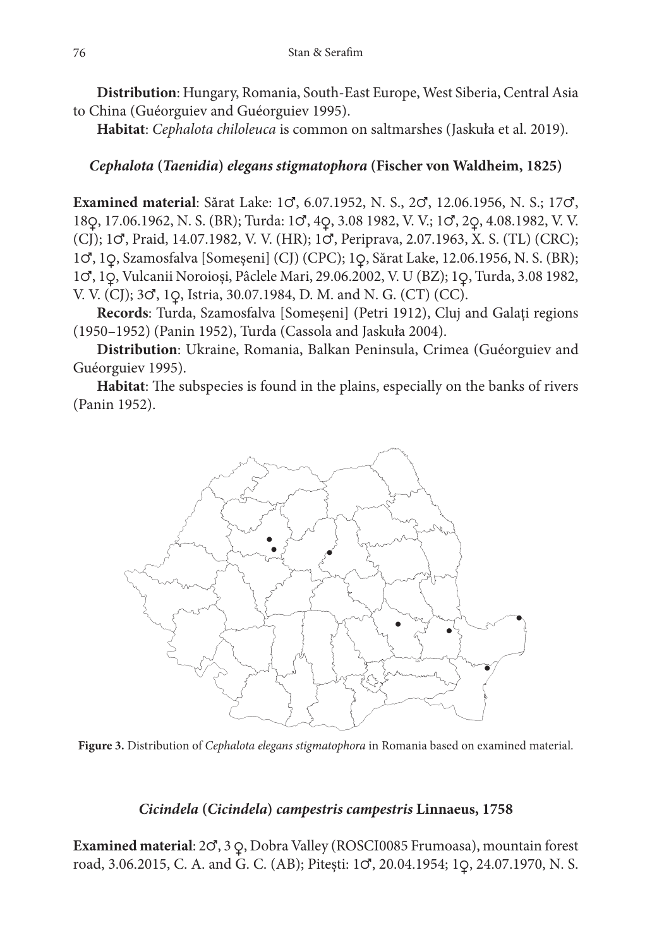**Distribution**: Hungary, Romania, South-East Europe, West Siberia, Central Asia to China (Guéorguiev and Guéorguiev 1995).

**Habitat**: *Cephalota chiloleuca* is common on saltmarshes (Jaskuła et al. 2019).

# *Cephalota* **(***Taenidia***)** *elegans stigmatophora* **(Fischer von Waldheim, 1825)**

**Examined material**: Sărat Lake: 1♂, 6.07.1952, N. S., 2♂, 12.06.1956, N. S.; 17♂, 18♀, 17.06.1962, N. S. (BR); Turda: 1♂, 4♀, 3.08 1982, V. V.; 1♂, 2♀, 4.08.1982, V. V. (CJ); 1♂, Praid, 14.07.1982, V. V. (HR); 1♂, Periprava, 2.07.1963, X. S. (TL) (CRC); 1♂, 1♀, Szamosfalva [Someșeni] (CJ) (CPC); 1♀, Sărat Lake, 12.06.1956, N. S. (BR); 1♂, 1♀, Vulcanii Noroioși, Pâclele Mari, 29.06.2002, V. U (BZ); 1♀, Turda, 3.08 1982, V. V. (CJ); 3♂, 1♀, Istria, 30.07.1984, D. M. and N. G. (CT) (CC).

**Records**: Turda, Szamosfalva [Someșeni] (Petri 1912), Cluj and Galați regions (1950–1952) (Panin 1952), Turda (Cassola and Jaskuła 2004).

**Distribution**: Ukraine, Romania, Balkan Peninsula, Crimea (Guéorguiev and Guéorguiev 1995).

**Habitat**: The subspecies is found in the plains, especially on the banks of rivers (Panin 1952).



**Figure 3.** Distribution of *Cephalota elegans stigmatophora* in Romania based on examined material.

# *Cicindela* **(***Cicindela***)** *campestris campestris* **Linnaeus, 1758**

**Examined material**: 2♂, 3 ♀, Dobra Valley (ROSCI0085 Frumoasa), mountain forest road, 3.06.2015, C. A. and G. C. (AB); Pitești: 1♂, 20.04.1954; 1♀, 24.07.1970, N. S.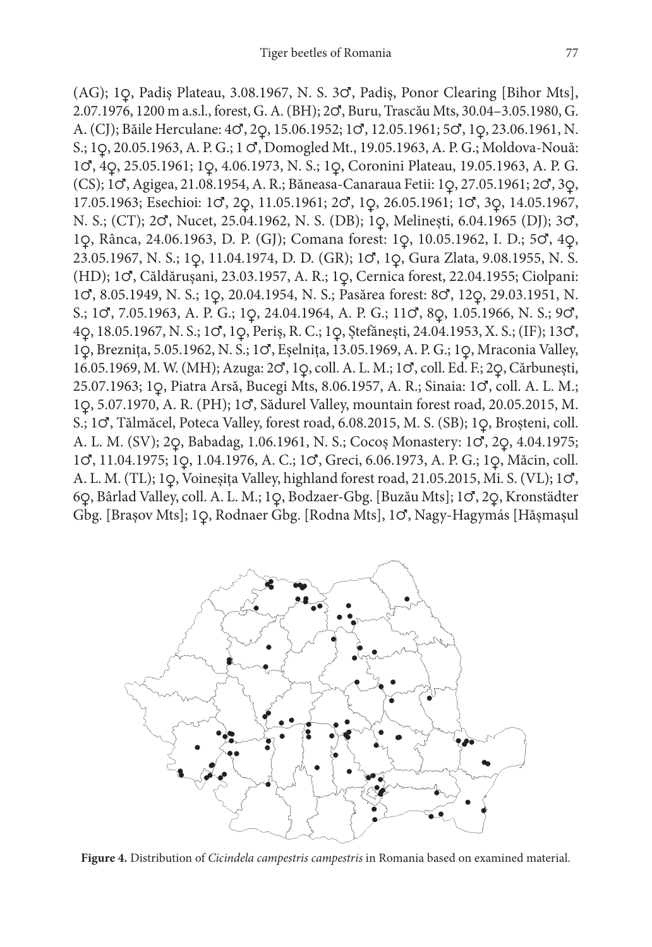(AG); 1♀, Padiș Plateau, 3.08.1967, N. S. 3♂, Padiș, Ponor Clearing [Bihor Mts], 2.07.1976, 1200 m a.s.l., forest, G. A. (BH); 2♂, Buru, Trascău Mts, 30.04–3.05.1980, G. A. (CJ); Băile Herculane: 4♂, 2♀, 15.06.1952; 1♂, 12.05.1961; 5♂, 1♀, 23.06.1961, N. S.; 1♀, 20.05.1963, A. P. G.; 1 ♂, Domogled Mt., 19.05.1963, A. P. G.; Moldova-Nouă: 1♂, 4♀, 25.05.1961; 1♀, 4.06.1973, N. S.; 1♀, Coronini Plateau, 19.05.1963, A. P. G. (CS); 1♂, Agigea, 21.08.1954, A. R.; Băneasa-Canaraua Fetii: 1♀, 27.05.1961; 2♂, 3♀, 17.05.1963; Esechioi: 1♂, 2♀, 11.05.1961; 2♂, 1♀, 26.05.1961; 1♂, 3♀, 14.05.1967, N. S.; (CT); 2♂, Nucet, 25.04.1962, N. S. (DB); 1♀, Melinești, 6.04.1965 (DJ); 3♂, 1♀, Rânca, 24.06.1963, D. P. (GJ); Comana forest: 1♀, 10.05.1962, I. D.; 5♂, 4♀, 23.05.1967, N. S.; 1♀, 11.04.1974, D. D. (GR); 1♂, 1♀, Gura Zlata, 9.08.1955, N. S. (HD); 1♂, Căldărușani, 23.03.1957, A. R.; 1♀, Cernica forest, 22.04.1955; Ciolpani: 1♂, 8.05.1949, N. S.; 1♀, 20.04.1954, N. S.; Pasărea forest: 8♂, 12♀, 29.03.1951, N. S.; 1♂, 7.05.1963, A. P. G.; 1♀, 24.04.1964, A. P. G.; 11♂, 8♀, 1.05.1966, N. S.; 9♂, 4♀, 18.05.1967, N. S.; 1♂, 1♀, Periș, R. C.; 1♀, Ștefănești, 24.04.1953, X. S.; (IF); 13♂, 1♀, Breznița, 5.05.1962, N. S.; 1♂, Eșelnița, 13.05.1969, A. P. G.; 1♀, Mraconia Valley, 16.05.1969, M. W. (MH); Azuga: 2♂, 1♀, coll. A. L. M.; 1♂, coll. Ed. F.; 2♀, Cărbunești, 25.07.1963; 1♀, Piatra Arsă, Bucegi Mts, 8.06.1957, A. R.; Sinaia: 1♂, coll. A. L. M.; 1♀, 5.07.1970, A. R. (PH); 1♂, Sădurel Valley, mountain forest road, 20.05.2015, M. S.; 1♂, Tălmăcel, Poteca Valley, forest road, 6.08.2015, M. S. (SB); 1♀, Broșteni, coll. A. L. M. (SV); 2♀, Babadag, 1.06.1961, N. S.; Cocoș Monastery: 1♂, 2♀, 4.04.1975; 1♂, 11.04.1975; 1♀, 1.04.1976, A. C.; 1♂, Greci, 6.06.1973, A. P. G.; 1♀, Măcin, coll. A. L. M. (TL); 1♀, Voineșița Valley, highland forest road, 21.05.2015, Mi. S. (VL); 1♂, 6♀, Bârlad Valley, coll. A. L. M.; 1♀, Bodzaer-Gbg. [Buzău Mts]; 1♂, 2♀, Kronstädter Gbg. [Brașov Mts]; 1♀, Rodnaer Gbg. [Rodna Mts], 1♂, Nagy-Hagymás [Hășmașul



**Figure 4.** Distribution of *Cicindela campestris campestris* in Romania based on examined material.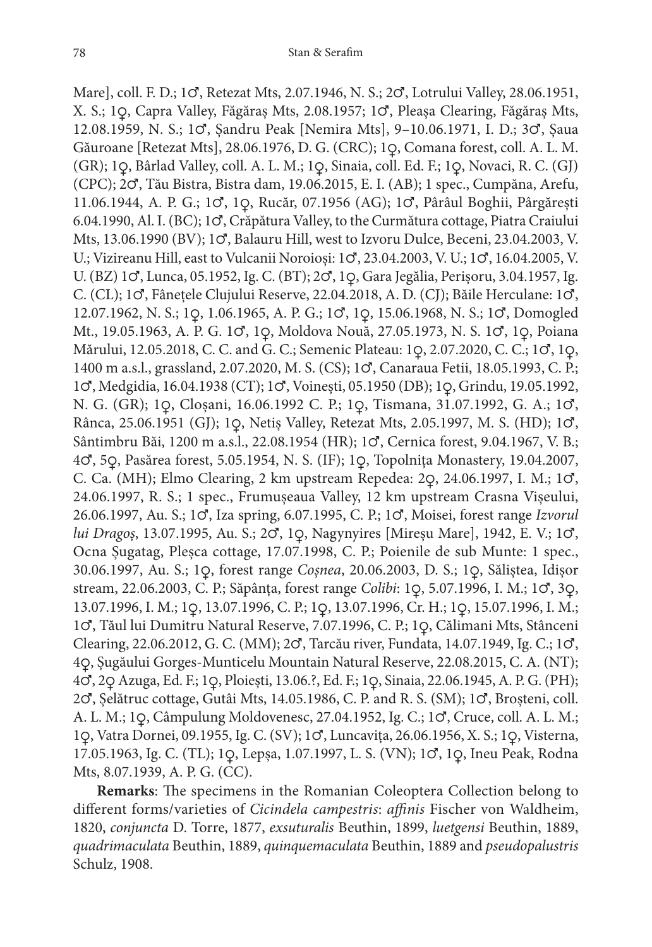Mare], coll. F. D.; 1♂, Retezat Mts, 2.07.1946, N. S.; 2♂, Lotrului Valley, 28.06.1951, X. S.; 1♀, Capra Valley, Făgăraș Mts, 2.08.1957; 1♂, Pleașa Clearing, Făgăraș Mts, 12.08.1959, N. S.; 1♂, Șandru Peak [Nemira Mts], 9–10.06.1971, I. D.; 3♂, Șaua Găuroane [Retezat Mts], 28.06.1976, D. G. (CRC); 1♀, Comana forest, coll. A. L. M. (GR); 1♀, Bârlad Valley, coll. A. L. M.; 1♀, Sinaia, coll. Ed. F.; 1♀, Novaci, R. C. (GJ) (CPC); 2♂, Tău Bistra, Bistra dam, 19.06.2015, E. I. (AB); 1 spec., Cumpăna, Arefu, 11.06.1944, A. P. G.; 1♂, 1♀, Rucăr, 07.1956 (AG); 1♂, Pârâul Boghii, Pârgărești 6.04.1990, Al. I. (BC); 1♂, Crăpătura Valley, to the Curmătura cottage, Piatra Craiului Mts, 13.06.1990 (BV); 1♂, Balauru Hill, west to Izvoru Dulce, Beceni, 23.04.2003, V. U.; Vizireanu Hill, east to Vulcanii Noroioși: 1♂, 23.04.2003, V. U.; 1♂, 16.04.2005, V. U. (BZ) 1♂, Lunca, 05.1952, Ig. C. (BT); 2♂, 1♀, Gara Jegălia, Perișoru, 3.04.1957, Ig. C. (CL); 1♂, Fânețele Clujului Reserve, 22.04.2018, A. D. (CJ); Băile Herculane: 1♂, 12.07.1962, N. S.; 1♀, 1.06.1965, A. P. G.; 1♂, 1♀, 15.06.1968, N. S.; 1♂, Domogled Mt., 19.05.1963, A. P. G. 1♂, 1♀, Moldova Nouă, 27.05.1973, N. S. 1♂, 1♀, Poiana Mărului, 12.05.2018, C. C. and G. C.; Semenic Plateau: 1♀, 2.07.2020, C. C.; 1♂, 1♀, 1400 m a.s.l., grassland, 2.07.2020, M. S. (CS); 1♂, Canaraua Fetii, 18.05.1993, C. P.; 1♂, Medgidia, 16.04.1938 (CT); 1♂, Voinești, 05.1950 (DB); 1♀, Grindu, 19.05.1992, N. G. (GR); 1♀, Cloșani, 16.06.1992 C. P.; 1♀, Tismana, 31.07.1992, G. A.; 1♂, Rânca, 25.06.1951 (GJ); 1♀, Netiș Valley, Retezat Mts, 2.05.1997, M. S. (HD); 1♂, Sântimbru Băi, 1200 m a.s.l., 22.08.1954 (HR); 1♂, Cernica forest, 9.04.1967, V. B.; 4♂, 5♀, Pasărea forest, 5.05.1954, N. S. (IF); 1♀, Topolnița Monastery, 19.04.2007, C. Ca. (MH); Elmo Clearing, 2 km upstream Repedea: 2♀, 24.06.1997, I. M.; 1♂, 24.06.1997, R. S.; 1 spec., Frumușeaua Valley, 12 km upstream Crasna Vișeului, 26.06.1997, Au. S.; 1♂, Iza spring, 6.07.1995, C. P.; 1♂, Moisei, forest range *Izvorul lui Dragoș*, 13.07.1995, Au. S.; 2♂, 1♀, Nagynyires [Mireșu Mare], 1942, E. V.; 1♂, Ocna Șugatag, Pleșca cottage, 17.07.1998, C. P.; Poienile de sub Munte: 1 spec., 30.06.1997, Au. S.; 1♀, forest range *Coșnea*, 20.06.2003, D. S.; 1♀, Săliștea, Idișor stream, 22.06.2003, C. P.; Săpânța, forest range *Colibi*: 1♀, 5.07.1996, I. M.; 1♂, 3♀, 13.07.1996, I. M.; 1♀, 13.07.1996, C. P.; 1♀, 13.07.1996, Cr. H.; 1♀, 15.07.1996, I. M.; 1♂, Tăul lui Dumitru Natural Reserve, 7.07.1996, C. P.; 1♀, Călimani Mts, Stânceni Clearing, 22.06.2012, G. C. (MM); 2♂, Tarcău river, Fundata, 14.07.1949, Ig. C.; 1♂, 4♀, Șugăului Gorges-Munticelu Mountain Natural Reserve, 22.08.2015, C. A. (NT); 4♂, 2♀ Azuga, Ed. F.; 1♀, Ploiești, 13.06.?, Ed. F.; 1♀, Sinaia, 22.06.1945, A. P. G. (PH); 2♂, Șelătruc cottage, Gutâi Mts, 14.05.1986, C. P. and R. S. (SM); 1♂, Broșteni, coll. A. L. M.; 1♀, Câmpulung Moldovenesc, 27.04.1952, Ig. C.; 1♂, Cruce, coll. A. L. M.; 1♀, Vatra Dornei, 09.1955, Ig. C. (SV); 1♂, Luncavița, 26.06.1956, X. S.; 1♀, Visterna, 17.05.1963, Ig. C. (TL); 1♀, Lepșa, 1.07.1997, L. S. (VN); 1♂, 1♀, Ineu Peak, Rodna Mts, 8.07.1939, A. P. G. (CC).

**Remarks**: The specimens in the Romanian Coleoptera Collection belong to different forms/varieties of *Cicindela campestris*: *affinis* Fischer von Waldheim, 1820, *conjuncta* D. Torre, 1877, *exsuturalis* Beuthin, 1899, *luetgensi* Beuthin, 1889, *quadrimaculata* Beuthin, 1889, *quinquemaculata* Beuthin, 1889 and *pseudopalustris* Schulz, 1908.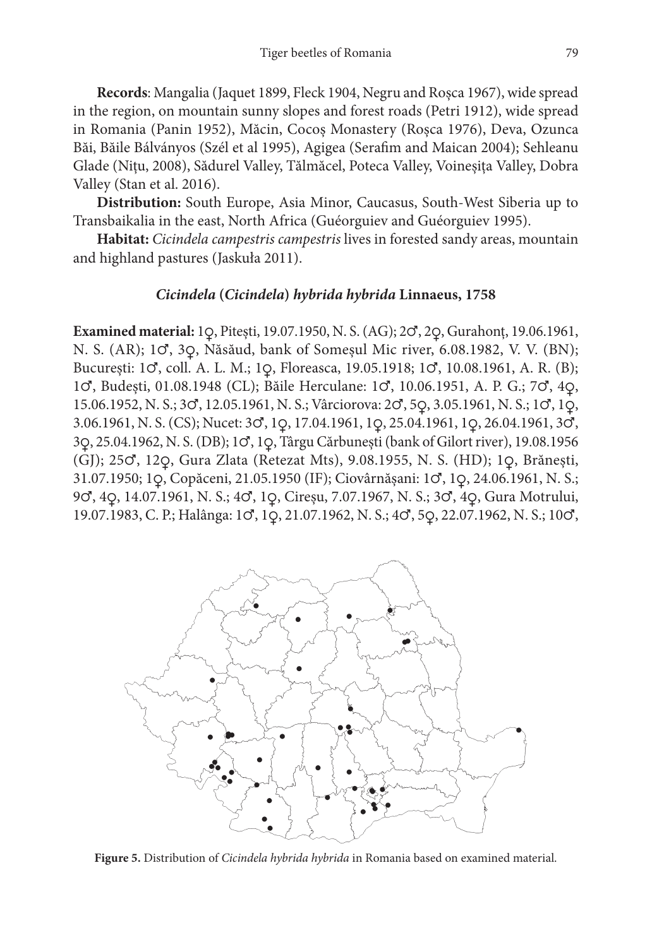**Records**: Mangalia (Jaquet 1899, Fleck 1904, Negru and Roșca 1967), wide spread in the region, on mountain sunny slopes and forest roads (Petri 1912), wide spread in Romania (Panin 1952), Măcin, Cocoș Monastery (Roșca 1976), Deva, Ozunca Băi, Băile Bálványos (Szél et al 1995), Agigea (Serafim and Maican 2004); Sehleanu Glade (Nițu, 2008), Sădurel Valley, Tălmăcel, Poteca Valley, Voineșița Valley, Dobra Valley (Stan et al. 2016).

**Distribution:** South Europe, Asia Minor, Caucasus, South-West Siberia up to Transbaikalia in the east, North Africa (Guéorguiev and Guéorguiev 1995).

**Habitat:** *Cicindela campestris campestris* lives in forested sandy areas, mountain and highland pastures (Jaskuła 2011).

## *Cicindela* **(***Cicindela***)** *hybrida hybrida* **Linnaeus, 1758**

**Examined material:** 1♀, Pitești, 19.07.1950, N. S. (AG); 2♂, 2♀, Gurahonț, 19.06.1961, N. S. (AR); 1♂, 3♀, Năsăud, bank of Someșul Mic river, 6.08.1982, V. V. (BN); București: 1♂, coll. A. L. M.; 1♀, Floreasca, 19.05.1918; 1♂, 10.08.1961, A. R. (B); 1♂, Budești, 01.08.1948 (CL); Băile Herculane: 1♂, 10.06.1951, A. P. G.; 7♂, 4♀, 15.06.1952, N. S.; 3♂, 12.05.1961, N. S.; Vârciorova: 2♂, 5♀, 3.05.1961, N. S.; 1♂, 1♀, 3.06.1961, N. S. (CS); Nucet: 3♂, 1♀, 17.04.1961, 1♀, 25.04.1961, 1♀, 26.04.1961, 3♂, 3♀, 25.04.1962, N. S. (DB); 1♂, 1♀, Târgu Cărbunești (bank of Gilort river), 19.08.1956 (GJ); 25♂, 12♀, Gura Zlata (Retezat Mts), 9.08.1955, N. S. (HD); 1♀, Brănești, 31.07.1950; 1♀, Copăceni, 21.05.1950 (IF); Ciovârnășani: 1♂, 1♀, 24.06.1961, N. S.; 9♂, 4♀, 14.07.1961, N. S.; 4♂, 1♀, Cireșu, 7.07.1967, N. S.; 3♂, 4♀, Gura Motrului, 19.07.1983, C. P.; Halânga: 1♂, 1♀, 21.07.1962, N. S.; 4♂, 5♀, 22.07.1962, N. S.; 10♂,



**Figure 5.** Distribution of *Cicindela hybrida hybrida* in Romania based on examined material.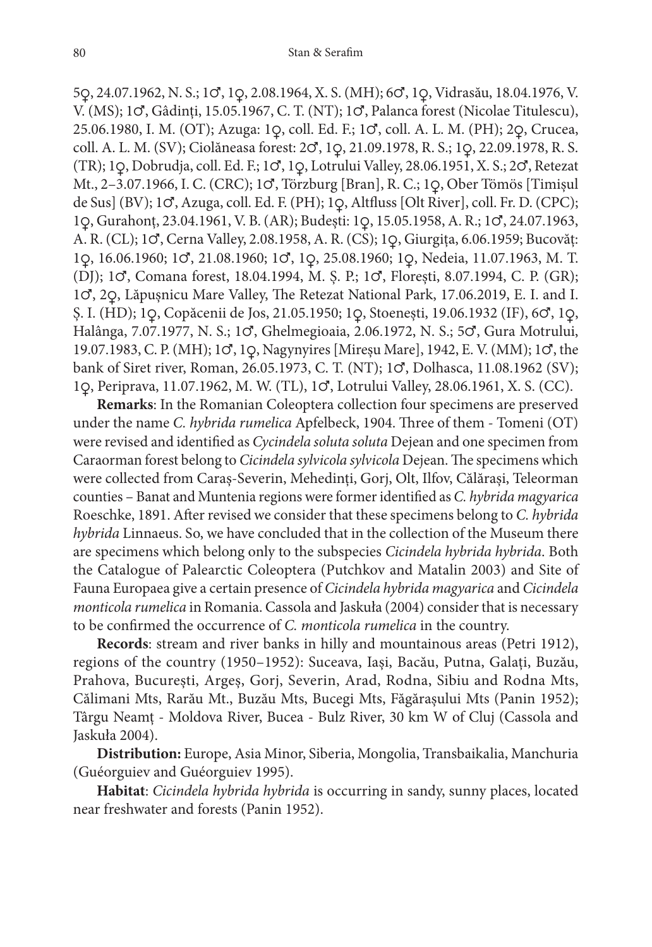5♀, 24.07.1962, N. S.; 1♂, 1♀, 2.08.1964, X. S. (MH); 6♂, 1♀, Vidrasău, 18.04.1976, V. V. (MS); 1♂, Gâdinți, 15.05.1967, C. T. (NT); 1♂, Palanca forest (Nicolae Titulescu), 25.06.1980, I. M. (OT); Azuga: 1♀, coll. Ed. F.; 1♂, coll. A. L. M. (PH); 2♀, Crucea, coll. A. L. M. (SV); Ciolăneasa forest: 2♂, 1♀, 21.09.1978, R. S.; 1♀, 22.09.1978, R. S. (TR); 1♀, Dobrudja, coll. Ed. F.; 1♂, 1♀, Lotrului Valley, 28.06.1951, X. S.; 2♂, Retezat Mt., 2–3.07.1966, I. C. (CRC); 1♂, Törzburg [Bran], R. C.; 1♀, Ober Tömös [Timișul de Sus] (BV); 1♂, Azuga, coll. Ed. F. (PH); 1♀, Altfluss [Olt River], coll. Fr. D. (CPC); 1♀, Gurahonț, 23.04.1961, V. B. (AR); Budești: 1♀, 15.05.1958, A. R.; 1♂, 24.07.1963, A. R. (CL); 1♂, Cerna Valley, 2.08.1958, A. R. (CS); 1♀, Giurgița, 6.06.1959; Bucovăț: 1♀, 16.06.1960; 1♂, 21.08.1960; 1♂, 1♀, 25.08.1960; 1♀, Nedeia, 11.07.1963, M. T. (DJ); 1♂, Comana forest, 18.04.1994, M. Ș. P.; 1♂, Florești, 8.07.1994, C. P. (GR); 1♂, 2♀, Lăpușnicu Mare Valley, The Retezat National Park, 17.06.2019, E. I. and I. Ș. I. (HD); 1♀, Copăcenii de Jos, 21.05.1950; 1♀, Stoenești, 19.06.1932 (IF), 6♂, 1♀, Halânga, 7.07.1977, N. S.; 1♂, Ghelmegioaia, 2.06.1972, N. S.; 5♂, Gura Motrului, 19.07.1983, C. P. (MH); 1♂, 1♀, Nagynyires [Mireșu Mare], 1942, E. V. (MM); 1♂, the bank of Siret river, Roman, 26.05.1973, C. T. (NT); 1♂, Dolhasca, 11.08.1962 (SV); 1♀, Periprava, 11.07.1962, M. W. (TL), 1♂, Lotrului Valley, 28.06.1961, X. S. (CC).

**Remarks**: In the Romanian Coleoptera collection four specimens are preserved under the name *C. hybrida rumelica* Apfelbeck, 1904. Three of them - Tomeni (OT) were revised and identified as *Cycindela soluta soluta* Dejean and one specimen from Caraorman forest belong to *Cicindela sylvicola sylvicola* Dejean. The specimens which were collected from Caraș-Severin, Mehedinți, Gorj, Olt, Ilfov, Călărași, Teleorman counties – Banat and Muntenia regions were former identified as *C. hybrida magyarica* Roeschke, 1891. After revised we consider that these specimens belong to *C. hybrida hybrida* Linnaeus. So, we have concluded that in the collection of the Museum there are specimens which belong only to the subspecies *Cicindela hybrida hybrida*. Both the Catalogue of Palearctic Coleoptera (Putchkov and Matalin 2003) and Site of Fauna Europaea give a certain presence of *Cicindela hybrida magyarica* and *Cicindela monticola rumelica* in Romania. Cassola and Jaskuła (2004) consider that is necessary to be confirmed the occurrence of *C. monticola rumelica* in the country.

**Records**: stream and river banks in hilly and mountainous areas (Petri 1912), regions of the country (1950–1952): Suceava, Iași, Bacău, Putna, Galați, Buzău, Prahova, București, Argeș, Gorj, Severin, Arad, Rodna, Sibiu and Rodna Mts, Călimani Mts, Rarău Mt., Buzău Mts, Bucegi Mts, Făgărașului Mts (Panin 1952); Târgu Neamț - Moldova River, Bucea - Bulz River, 30 km W of Cluj (Cassola and Jaskuła 2004).

**Distribution:** Europe, Asia Minor, Siberia, Mongolia, Transbaikalia, Manchuria (Guéorguiev and Guéorguiev 1995).

**Habitat**: *Cicindela hybrida hybrida* is occurring in sandy, sunny places, located near freshwater and forests (Panin 1952).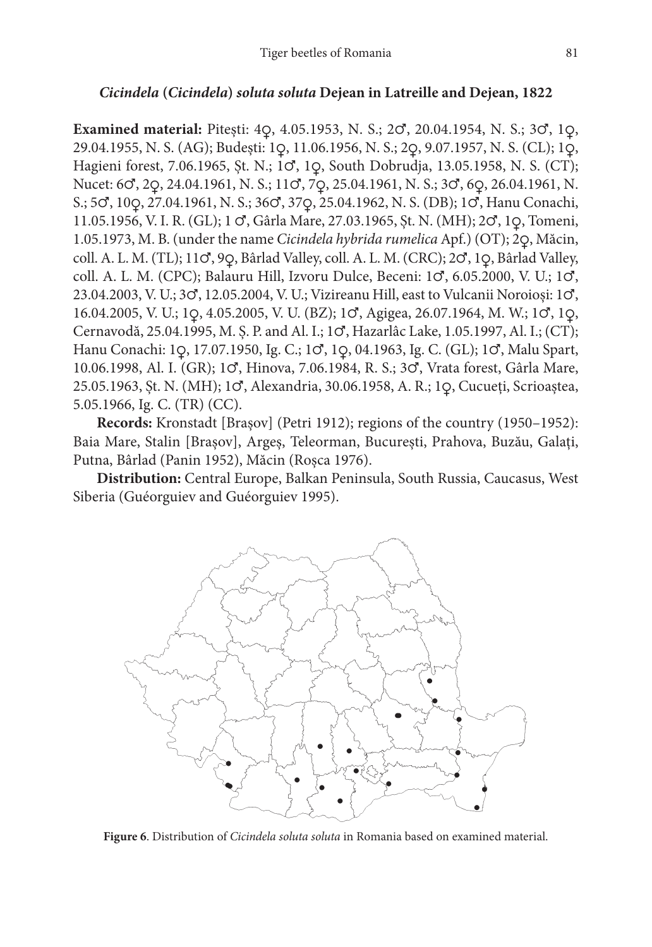#### *Cicindela* **(***Cicindela***)** *soluta soluta* **Dejean in Latreille and Dejean, 1822**

**Examined material:** Pitești: 4♀, 4.05.1953, N. S.; 2♂, 20.04.1954, N. S.; 3♂, 1♀, 29.04.1955, N. S. (AG); Budești: 1♀, 11.06.1956, N. S.; 2♀, 9.07.1957, N. S. (CL); 1♀, Hagieni forest, 7.06.1965, Șt. N.; 1♂, 1♀, South Dobrudja, 13.05.1958, N. S. (CT); Nucet: 6♂, 2♀, 24.04.1961, N. S.; 11♂, 7♀, 25.04.1961, N. S.; 3♂, 6♀, 26.04.1961, N. S.; 5♂, 10♀, 27.04.1961, N. S.; 36♂, 37♀, 25.04.1962, N. S. (DB); 1♂, Hanu Conachi, 11.05.1956, V. I. R. (GL); 1 ♂, Gârla Mare, 27.03.1965, Șt. N. (MH); 2♂, 1♀, Tomeni, 1.05.1973, M. B. (under the name *Cicindela hybrida rumelica* Apf.) (OT); 2♀, Măcin, coll. A. L. M. (TL); 11♂, 9♀, Bârlad Valley, coll. A. L. M. (CRC); 2♂, 1♀, Bârlad Valley, coll. A. L. M. (CPC); Balauru Hill, Izvoru Dulce, Beceni: 1♂, 6.05.2000, V. U.; 1♂, 23.04.2003, V. U.; 3♂, 12.05.2004, V. U.; Vizireanu Hill, east to Vulcanii Noroioși: 1♂, 16.04.2005, V. U.; 1♀, 4.05.2005, V. U. (BZ); 1♂, Agigea, 26.07.1964, M. W.; 1♂, 1♀, Cernavodă, 25.04.1995, M. Ș. P. and Al. I.; 1♂, Hazarlâc Lake, 1.05.1997, Al. I.; (CT); Hanu Conachi: 1♀, 17.07.1950, Ig. C.; 1♂, 1♀, 04.1963, Ig. C. (GL); 1♂, Malu Spart, 10.06.1998, Al. I. (GR); 1♂, Hinova, 7.06.1984, R. S.; 3♂, Vrata forest, Gârla Mare, 25.05.1963, Șt. N. (MH); 1♂, Alexandria, 30.06.1958, A. R.; 1♀, Cucueți, Scrioaștea, 5.05.1966, Ig. C. (TR) (CC).

**Records:** Kronstadt [Brașov] (Petri 1912); regions of the country (1950–1952): Baia Mare, Stalin [Brașov], Argeș, Teleorman, București, Prahova, Buzău, Galați, Putna, Bârlad (Panin 1952), Măcin (Roșca 1976).

**Distribution:** Central Europe, Balkan Peninsula, South Russia, Caucasus, West Siberia (Guéorguiev and Guéorguiev 1995).



**Figure 6**. Distribution of *Cicindela soluta soluta* in Romania based on examined material.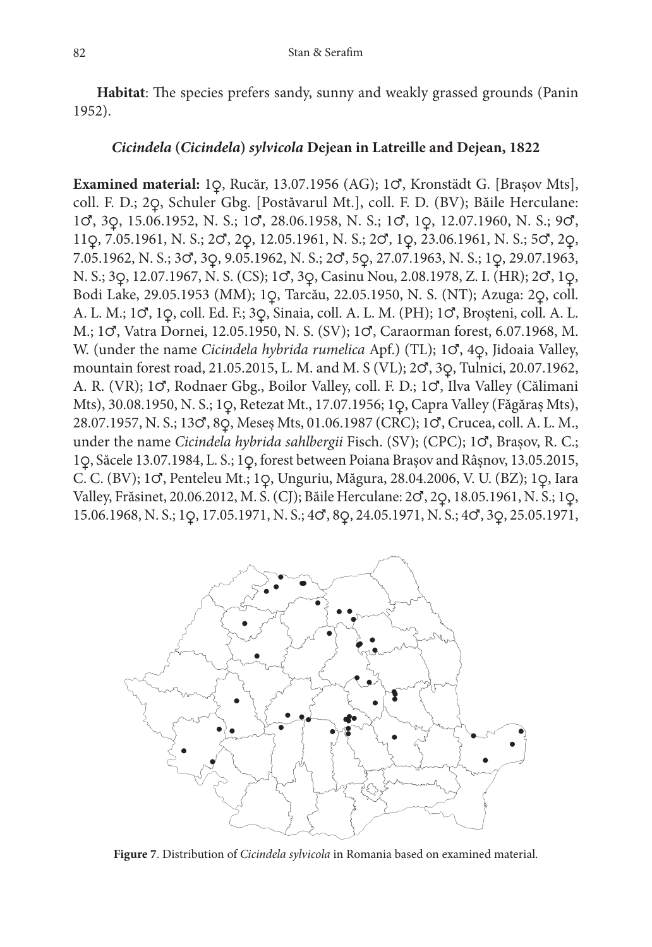**Habitat**: The species prefers sandy, sunny and weakly grassed grounds (Panin 1952).

#### *Cicindela* **(***Cicindela***)** *sylvicola* **Dejean in Latreille and Dejean, 1822**

**Examined material:** 1♀, Rucăr, 13.07.1956 (AG); 1♂, Kronstädt G. [Brașov Mts], coll. F. D.; 2♀, Schuler Gbg. [Postăvarul Mt.], coll. F. D. (BV); Băile Herculane: 1♂, 3♀, 15.06.1952, N. S.; 1♂, 28.06.1958, N. S.; 1♂, 1♀, 12.07.1960, N. S.; 9♂, 11♀, 7.05.1961, N. S.; 2♂, 2♀, 12.05.1961, N. S.; 2♂, 1♀, 23.06.1961, N. S.; 5♂, 2♀, 7.05.1962, N. S.; 3♂, 3♀, 9.05.1962, N. S.; 2♂, 5♀, 27.07.1963, N. S.; 1♀, 29.07.1963, N. S.; 3♀, 12.07.1967, N. S. (CS); 1♂, 3♀, Casinu Nou, 2.08.1978, Z. I. (HR); 2♂, 1♀, Bodi Lake, 29.05.1953 (MM); 1♀, Tarcău, 22.05.1950, N. S. (NT); Azuga: 2♀, coll. A. L. M.; 1♂, 1♀, coll. Ed. F.; 3♀, Sinaia, coll. A. L. M. (PH); 1♂, Broșteni, coll. A. L. M.; 1♂, Vatra Dornei, 12.05.1950, N. S. (SV); 1♂, Caraorman forest, 6.07.1968, M. W. (under the name *Cicindela hybrida rumelica* Apf.) (TL); 1♂, 4♀, Jidoaia Valley, mountain forest road, 21.05.2015, L. M. and M. S (VL); 2♂, 3♀, Tulnici, 20.07.1962, A. R. (VR); 1♂, Rodnaer Gbg., Boilor Valley, coll. F. D.; 1♂, Ilva Valley (Călimani Mts), 30.08.1950, N. S.; 1♀, Retezat Mt., 17.07.1956; 1♀, Capra Valley (Făgăraș Mts), 28.07.1957, N. S.; 13♂, 8♀, Meseș Mts, 01.06.1987 (CRC); 1♂, Crucea, coll. A. L. M., under the name *Cicindela hybrida sahlbergii* Fisch. (SV); (CPC); 1♂, Brașov, R. C.; 1♀, Săcele 13.07.1984, L. S.; 1♀, forest between Poiana Brașov and Râșnov, 13.05.2015, C. C. (BV); 1♂, Penteleu Mt.; 1♀, Unguriu, Măgura, 28.04.2006, V. U. (BZ); 1♀, Iara Valley, Frăsinet, 20.06.2012, M. S. (CJ); Băile Herculane: 2♂, 2♀, 18.05.1961, N. S.; 1♀, 15.06.1968, N. S.; 1♀, 17.05.1971, N. S.; 4♂, 8♀, 24.05.1971, N. S.; 4♂, 3♀, 25.05.1971,



**Figure 7**. Distribution of *Cicindela sylvicola* in Romania based on examined material.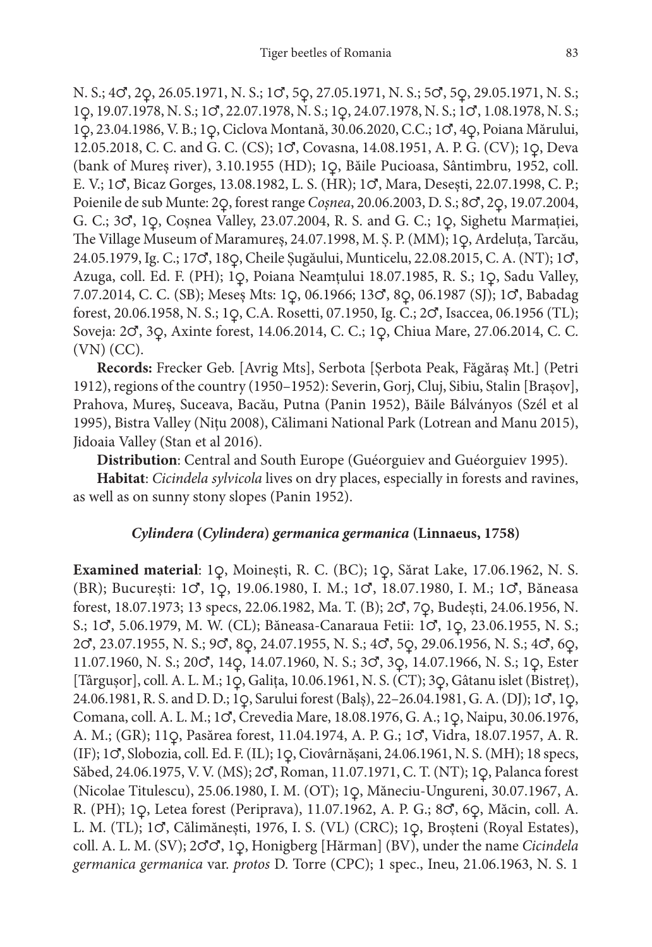N. S.; 4♂, 2♀, 26.05.1971, N. S.; 1♂, 5♀, 27.05.1971, N. S.; 5♂, 5♀, 29.05.1971, N. S.; 1♀, 19.07.1978, N. S.; 1♂, 22.07.1978, N. S.; 1♀, 24.07.1978, N. S.; 1♂, 1.08.1978, N. S.; 1♀, 23.04.1986, V. B.; 1♀, Ciclova Montană, 30.06.2020, C.C.; 1♂, 4♀, Poiana Mărului, 12.05.2018, C. C. and G. C. (CS); 1♂, Covasna, 14.08.1951, A. P. G. (CV); 1♀, Deva (bank of Mureș river), 3.10.1955 (HD); 1♀, Băile Pucioasa, Sântimbru, 1952, coll. E. V.; 1♂, Bicaz Gorges, 13.08.1982, L. S. (HR); 1♂, Mara, Desești, 22.07.1998, C. P.; Poienile de sub Munte: 2♀, forest range *Coșnea*, 20.06.2003, D. S.; 8♂, 2♀, 19.07.2004, G. C.; 3♂, 1♀, Coșnea Valley, 23.07.2004, R. S. and G. C.; 1♀, Sighetu Marmației, The Village Museum of Maramureș, 24.07.1998, M. Ș. P. (MM); 1♀, Ardeluța, Tarcău, 24.05.1979, Ig. C.; 17♂, 18♀, Cheile Șugăului, Munticelu, 22.08.2015, C. A. (NT); 1♂, Azuga, coll. Ed. F. (PH); 1♀, Poiana Neamțului 18.07.1985, R. S.; 1♀, Sadu Valley, 7.07.2014, C. C. (SB); Meseș Mts: 1♀, 06.1966; 13♂, 8♀, 06.1987 (SJ); 1♂, Babadag forest, 20.06.1958, N. S.; 1♀, C.A. Rosetti, 07.1950, Ig. C.; 2♂, Isaccea, 06.1956 (TL); Soveja: 2♂, 3♀, Axinte forest, 14.06.2014, C. C.; 1♀, Chiua Mare, 27.06.2014, C. C. (VN) (CC).

**Records:** Frecker Geb. [Avrig Mts], Serbota [Șerbota Peak, Făgăraș Mt.] (Petri 1912), regions of the country (1950–1952): Severin, Gorj, Cluj, Sibiu, Stalin [Brașov], Prahova, Mureș, Suceava, Bacău, Putna (Panin 1952), Băile Bálványos (Szél et al 1995), Bistra Valley (Nițu 2008), Călimani National Park (Lotrean and Manu 2015), Jidoaia Valley (Stan et al 2016).

**Distribution**: Central and South Europe (Guéorguiev and Guéorguiev 1995).

**Habitat**: *Cicindela sylvicola* lives on dry places, especially in forests and ravines, as well as on sunny stony slopes (Panin 1952).

# *Cylindera* **(***Cylindera***)** *germanica germanica* **(Linnaeus, 1758)**

**Examined material**: 1♀, Moinești, R. C. (BC); 1♀, Sărat Lake, 17.06.1962, N. S. (BR); București: 1♂, 1♀, 19.06.1980, I. M.; 1♂, 18.07.1980, I. M.; 1♂, Băneasa forest, 18.07.1973; 13 specs, 22.06.1982, Ma. T. (B); 2♂, 7♀, Budești, 24.06.1956, N. S.; 1♂, 5.06.1979, M. W. (CL); Băneasa-Canaraua Fetii: 1♂, 1♀, 23.06.1955, N. S.; 2♂, 23.07.1955, N. S.; 9♂, 8♀, 24.07.1955, N. S.; 4♂, 5♀, 29.06.1956, N. S.; 4♂, 6♀, 11.07.1960, N. S.; 20♂, 14♀, 14.07.1960, N. S.; 3♂, 3♀, 14.07.1966, N. S.; 1♀, Ester [Târgușor], coll. A. L. M.; 1♀, Galița, 10.06.1961, N. S. (CT); 3♀, Gâtanu islet (Bistreț), 24.06.1981, R. S. and D. D.; 1♀, Sarului forest (Balș), 22–26.04.1981, G. A. (DJ); 1♂, 1♀, Comana, coll. A. L. M.; 1♂, Crevedia Mare, 18.08.1976, G. A.; 1♀, Naipu, 30.06.1976, A. M.; (GR); 11♀, Pasărea forest, 11.04.1974, A. P. G.; 1♂, Vidra, 18.07.1957, A. R. (IF); 1♂, Slobozia, coll. Ed. F. (IL); 1♀, Ciovârnășani, 24.06.1961, N. S. (MH); 18 specs, Săbed, 24.06.1975, V. V. (MS); 2♂, Roman, 11.07.1971, C. T. (NT); 1♀, Palanca forest (Nicolae Titulescu), 25.06.1980, I. M. (OT); 1♀, Măneciu-Ungureni, 30.07.1967, A. R. (PH); 1♀, Letea forest (Periprava), 11.07.1962, A. P. G.; 8♂, 6♀, Măcin, coll. A. L. M. (TL); 1♂, Călimănești, 1976, I. S. (VL) (CRC); 1♀, Broșteni (Royal Estates), coll. A. L. M. (SV); 2♂♂, 1♀, Honigberg [Hărman] (BV), under the name *Cicindela germanica germanica* var. *protos* D. Torre (CPC); 1 spec., Ineu, 21.06.1963, N. S. 1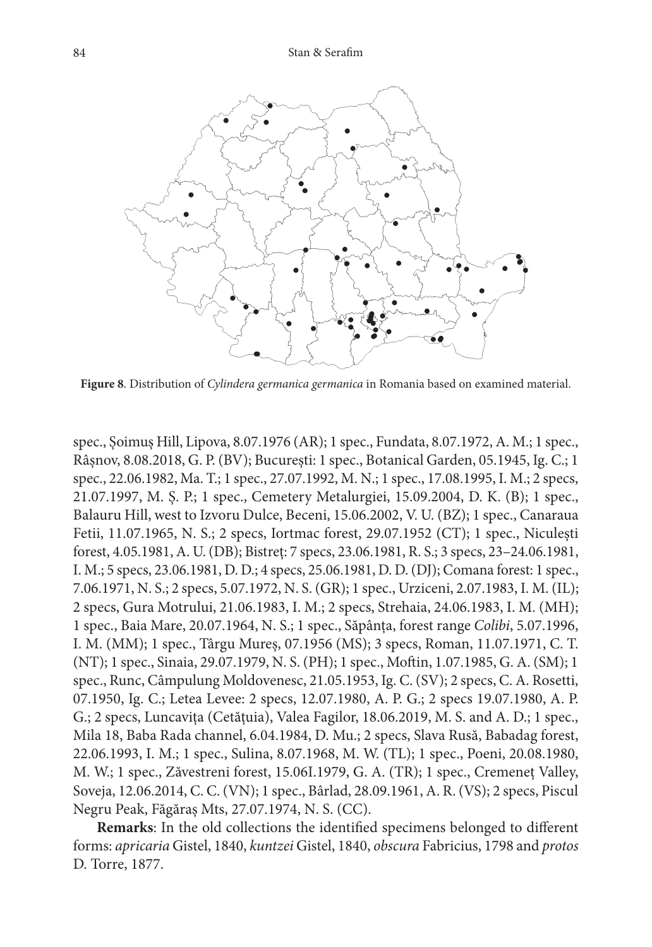

**Figure 8**. Distribution of *Cylindera germanica germanica* in Romania based on examined material.

spec., Șoimuș Hill, Lipova, 8.07.1976 (AR); 1 spec., Fundata, 8.07.1972, A. M.; 1 spec., Râșnov, 8.08.2018, G. P. (BV); București: 1 spec., Botanical Garden, 05.1945, Ig. C.; 1 spec., 22.06.1982, Ma. T.; 1 spec., 27.07.1992, M. N.; 1 spec., 17.08.1995, I. M.; 2 specs, 21.07.1997, M. Ș. P.; 1 spec., Cemetery Metalurgiei, 15.09.2004, D. K. (B); 1 spec., Balauru Hill, west to Izvoru Dulce, Beceni, 15.06.2002, V. U. (BZ); 1 spec., Canaraua Fetii, 11.07.1965, N. S.; 2 specs, Iortmac forest, 29.07.1952 (CT); 1 spec., Niculești forest, 4.05.1981, A. U. (DB); Bistreț: 7 specs, 23.06.1981, R. S.; 3 specs, 23–24.06.1981, I. M.; 5 specs, 23.06.1981, D. D.; 4 specs, 25.06.1981, D. D. (DJ); Comana forest: 1 spec., 7.06.1971, N. S.; 2 specs, 5.07.1972, N. S. (GR); 1 spec., Urziceni, 2.07.1983, I. M. (IL); 2 specs, Gura Motrului, 21.06.1983, I. M.; 2 specs, Strehaia, 24.06.1983, I. M. (MH); 1 spec., Baia Mare, 20.07.1964, N. S.; 1 spec., Săpânța, forest range *Colibi*, 5.07.1996, I. M. (MM); 1 spec., Târgu Mureș, 07.1956 (MS); 3 specs, Roman, 11.07.1971, C. T. (NT); 1 spec., Sinaia, 29.07.1979, N. S. (PH); 1 spec., Moftin, 1.07.1985, G. A. (SM); 1 spec., Runc, Câmpulung Moldovenesc, 21.05.1953, Ig. C. (SV); 2 specs, C. A. Rosetti, 07.1950, Ig. C.; Letea Levee: 2 specs, 12.07.1980, A. P. G.; 2 specs 19.07.1980, A. P. G.; 2 specs, Luncavița (Cetățuia), Valea Fagilor, 18.06.2019, M. S. and A. D.; 1 spec., Mila 18, Baba Rada channel, 6.04.1984, D. Mu.; 2 specs, Slava Rusă, Babadag forest, 22.06.1993, I. M.; 1 spec., Sulina, 8.07.1968, M. W. (TL); 1 spec., Poeni, 20.08.1980, M. W.; 1 spec., Zăvestreni forest, 15.06I.1979, G. A. (TR); 1 spec., Cremeneț Valley, Soveja, 12.06.2014, C. C. (VN); 1 spec., Bârlad, 28.09.1961, A. R. (VS); 2 specs, Piscul Negru Peak, Făgăraș Mts, 27.07.1974, N. S. (CC).

**Remarks**: In the old collections the identified specimens belonged to different forms: *apricaria* Gistel, 1840, *kuntzei* Gistel, 1840, *obscura* Fabricius, 1798 and *protos* D. Torre, 1877.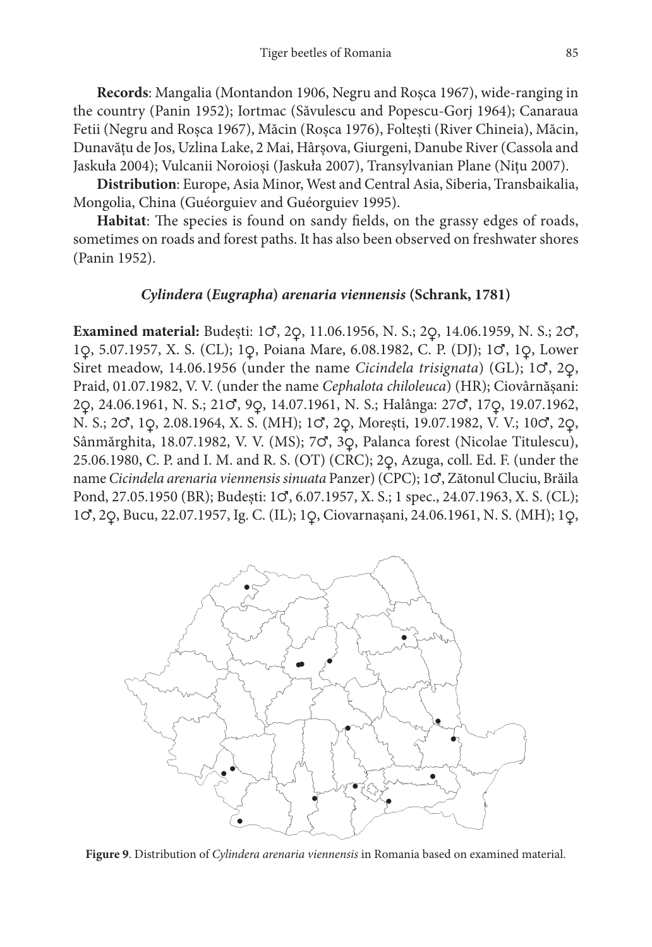**Records**: Mangalia (Montandon 1906, Negru and Roșca 1967), wide-ranging in the country (Panin 1952); Iortmac (Săvulescu and Popescu-Gorj 1964); Canaraua Fetii (Negru and Roșca 1967), Măcin (Roșca 1976), Foltești (River Chineia), Măcin, Dunavățu de Jos, Uzlina Lake, 2 Mai, Hârșova, Giurgeni, Danube River (Cassola and Jaskuła 2004); Vulcanii Noroioși (Jaskuła 2007), Transylvanian Plane (Nițu 2007).

**Distribution**: Europe, Asia Minor, West and Central Asia, Siberia, Transbaikalia, Mongolia, China (Guéorguiev and Guéorguiev 1995).

**Habitat**: The species is found on sandy fields, on the grassy edges of roads, sometimes on roads and forest paths. It has also been observed on freshwater shores (Panin 1952).

## *Cylindera* **(***Eugrapha***)** *arenaria viennensis* **(Schrank, 1781)**

**Examined material:** Budești: 1♂, 2♀, 11.06.1956, N. S.; 2♀, 14.06.1959, N. S.; 2♂, 1♀, 5.07.1957, X. S. (CL); 1♀, Poiana Mare, 6.08.1982, C. P. (DJ); 1♂, 1♀, Lower Siret meadow, 14.06.1956 (under the name *Cicindela trisignata*) (GL); 1♂, 2♀, Praid, 01.07.1982, V. V. (under the name *Cephalota chiloleuca*) (HR); Ciovârnășani: 2♀, 24.06.1961, N. S.; 21♂, 9♀, 14.07.1961, N. S.; Halânga: 27♂, 17♀, 19.07.1962, N. S.; 2♂, 1♀, 2.08.1964, X. S. (MH); 1♂, 2♀, Morești, 19.07.1982, V. V.; 10♂, 2♀, Sânmărghita, 18.07.1982, V. V. (MS); 7♂, 3♀, Palanca forest (Nicolae Titulescu), 25.06.1980, C. P. and I. M. and R. S. (OT) (CRC); 2♀, Azuga, coll. Ed. F. (under the name *Cicindela arenaria viennensis sinuata* Panzer) (CPC); 1♂, Zătonul Cluciu, Brăila Pond, 27.05.1950 (BR); Budești: 1♂, 6.07.1957, X. S.; 1 spec., 24.07.1963, X. S. (CL); 1♂, 2♀, Bucu, 22.07.1957, Ig. C. (IL); 1♀, Ciovarnașani, 24.06.1961, N. S. (MH); 1♀,



**Figure 9**. Distribution of *Cylindera arenaria viennensis* in Romania based on examined material.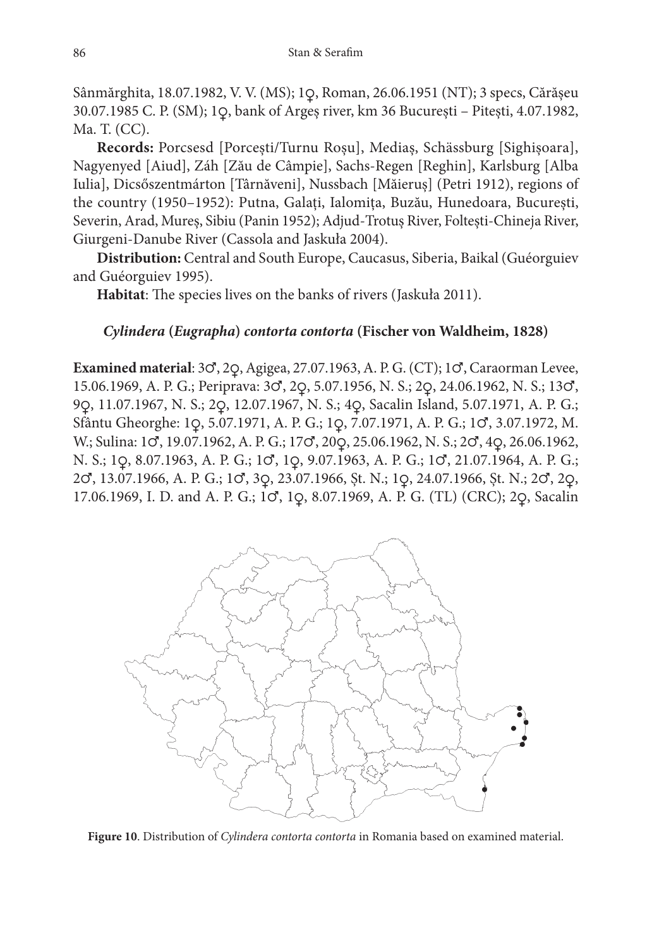Sânmărghita, 18.07.1982, V. V. (MS); 1♀, Roman, 26.06.1951 (NT); 3 specs, Cărășeu 30.07.1985 C. P. (SM); 1♀, bank of Argeș river, km 36 București – Pitești, 4.07.1982, Ma. T. (CC).

**Records:** Porcsesd [Porcești/Turnu Roșu], Mediaș, Schässburg [Sighișoara], Nagyenyed [Aiud], Záh [Zău de Câmpie], Sachs-Regen [Reghin], Karlsburg [Alba Iulia], Dicsőszentmárton [Târnăveni], Nussbach [Măieruș] (Petri 1912), regions of the country (1950–1952): Putna, Galați, Ialomița, Buzău, Hunedoara, București, Severin, Arad, Mureș, Sibiu (Panin 1952); Adjud-Trotuș River, Foltești-Chineja River, Giurgeni-Danube River (Cassola and Jaskuła 2004).

**Distribution:** Central and South Europe, Caucasus, Siberia, Baikal (Guéorguiev and Guéorguiev 1995).

**Habitat**: The species lives on the banks of rivers (Jaskuła 2011).

## *Cylindera* **(***Eugrapha***)** *contorta contorta* **(Fischer von Waldheim, 1828)**

**Examined material**: 3♂, 2♀, Agigea, 27.07.1963, A. P. G. (CT); 1♂, Caraorman Levee, 15.06.1969, A. P. G.; Periprava: 3♂, 2♀, 5.07.1956, N. S.; 2♀, 24.06.1962, N. S.; 13♂, 9♀, 11.07.1967, N. S.; 2♀, 12.07.1967, N. S.; 4♀, Sacalin Island, 5.07.1971, A. P. G.; Sfântu Gheorghe: 1♀, 5.07.1971, A. P. G.; 1♀, 7.07.1971, A. P. G.; 1♂, 3.07.1972, M. W.; Sulina: 1♂, 19.07.1962, A. P. G.; 17♂, 20♀, 25.06.1962, N. S.; 2♂, 4♀, 26.06.1962, N. S.; 1♀, 8.07.1963, A. P. G.; 1♂, 1♀, 9.07.1963, A. P. G.; 1♂, 21.07.1964, A. P. G.; 2♂, 13.07.1966, A. P. G.; 1♂, 3♀, 23.07.1966, Șt. N.; 1♀, 24.07.1966, Șt. N.; 2♂, 2♀, 17.06.1969, I. D. and A. P. G.; 1♂, 1♀, 8.07.1969, A. P. G. (TL) (CRC); 2♀, Sacalin



**Figure 10**. Distribution of *Cylindera contorta contorta* in Romania based on examined material.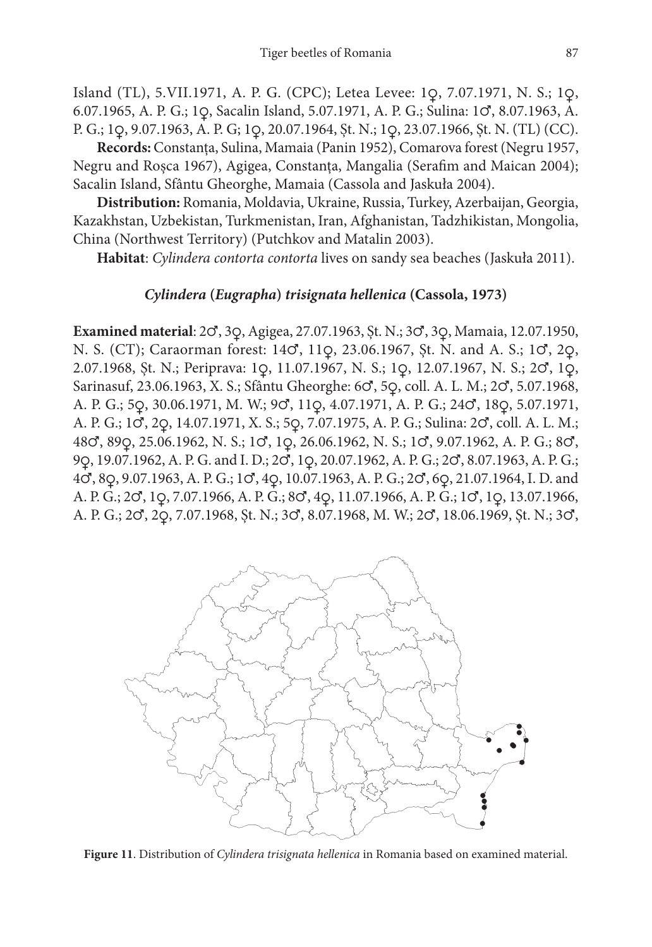Island (TL), 5.VII.1971, A. P. G. (CPC); Letea Levee: 1♀, 7.07.1971, N. S.; 1♀, 6.07.1965, A. P. G.; 1♀, Sacalin Island, 5.07.1971, A. P. G.; Sulina: 1♂, 8.07.1963, A. P. G.; 1♀, 9.07.1963, A. P. G; 1♀, 20.07.1964, Șt. N.; 1♀, 23.07.1966, Șt. N. (TL) (CC).

**Records:** Constanța, Sulina, Mamaia (Panin 1952), Comarova forest (Negru 1957, Negru and Roșca 1967), Agigea, Constanța, Mangalia (Serafim and Maican 2004); Sacalin Island, Sfântu Gheorghe, Mamaia (Cassola and Jaskuła 2004).

**Distribution:** Romania, Moldavia, Ukraine, Russia, Turkey, Azerbaijan, Georgia, Kazakhstan, Uzbekistan, Turkmenistan, Iran, Afghanistan, Tadzhikistan, Mongolia, China (Northwest Territory) (Putchkov and Matalin 2003).

**Habitat**: *Cylindera contorta contorta* lives on sandy sea beaches (Jaskuła 2011).

## *Cylindera* **(***Eugrapha***)** *trisignata hellenica* **(Cassola, 1973)**

**Examined material**: 2♂, 3♀, Agigea, 27.07.1963, Șt. N.; 3♂, 3♀, Mamaia, 12.07.1950, N. S. (CT); Caraorman forest: 14♂, 11♀, 23.06.1967, Șt. N. and A. S.; 1♂, 2♀, 2.07.1968, Șt. N.; Periprava: 1♀, 11.07.1967, N. S.; 1♀, 12.07.1967, N. S.; 2♂, 1♀, Sarinasuf, 23.06.1963, X. S.; Sfântu Gheorghe: 6♂, 5♀, coll. A. L. M.; 2♂, 5.07.1968, A. P. G.; 5♀, 30.06.1971, M. W.; 9♂, 11♀, 4.07.1971, A. P. G.; 24♂, 18♀, 5.07.1971, A. P. G.; 1♂, 2♀, 14.07.1971, X. S.; 5♀, 7.07.1975, A. P. G.; Sulina: 2♂, coll. A. L. M.; 48♂, 89♀, 25.06.1962, N. S.; 1♂, 1♀, 26.06.1962, N. S.; 1♂, 9.07.1962, A. P. G.; 8♂, 9♀, 19.07.1962, A. P. G. and I. D.; 2♂, 1♀, 20.07.1962, A. P. G.; 2♂, 8.07.1963, A. P. G.; 4♂, 8♀, 9.07.1963, A. P. G.; 1♂, 4♀, 10.07.1963, A. P. G.; 2♂, 6♀, 21.07.1964, I. D. and A. P. G.; 2♂, 1♀, 7.07.1966, A. P. G.; 8♂, 4♀, 11.07.1966, A. P. G.; 1♂, 1♀, 13.07.1966, A. P. G.; 2♂, 2♀, 7.07.1968, Șt. N.; 3♂, 8.07.1968, M. W.; 2♂, 18.06.1969, Șt. N.; 3♂,



**Figure 11**. Distribution of *Cylindera trisignata hellenica* in Romania based on examined material.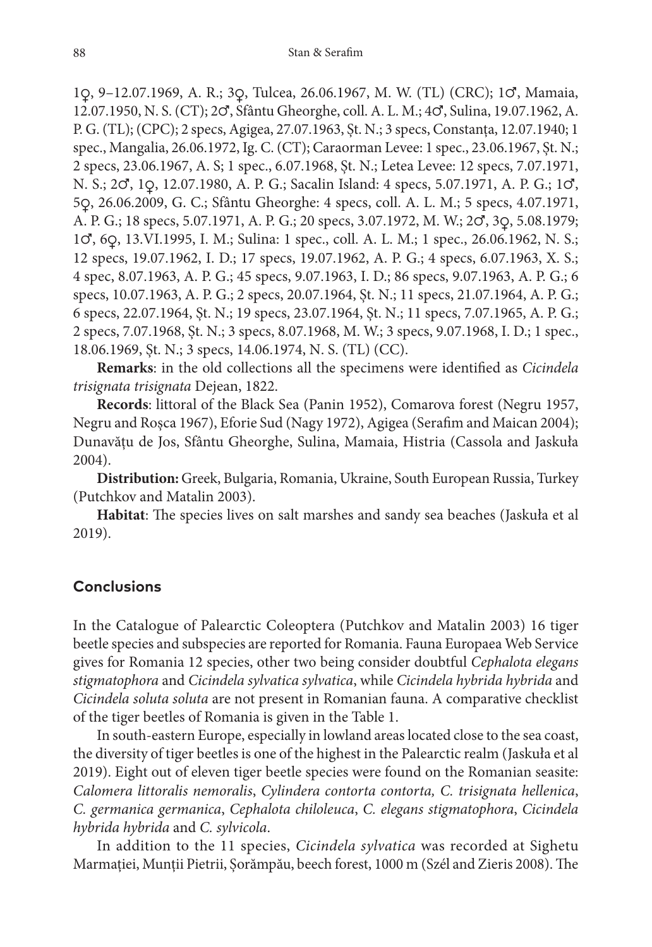1♀, 9–12.07.1969, A. R.; 3♀, Tulcea, 26.06.1967, M. W. (TL) (CRC); 1♂, Mamaia, 12.07.1950, N. S. (CT); 2♂, Sfântu Gheorghe, coll. A. L. M.; 4♂, Sulina, 19.07.1962, A. P. G. (TL); (CPC); 2 specs, Agigea, 27.07.1963, Șt. N.; 3 specs, Constanța, 12.07.1940; 1 spec., Mangalia, 26.06.1972, Ig. C. (CT); Caraorman Levee: 1 spec., 23.06.1967, Șt. N.; 2 specs, 23.06.1967, A. S; 1 spec., 6.07.1968, Șt. N.; Letea Levee: 12 specs, 7.07.1971, N. S.; 2♂, 1♀, 12.07.1980, A. P. G.; Sacalin Island: 4 specs, 5.07.1971, A. P. G.; 1♂, 5♀, 26.06.2009, G. C.; Sfântu Gheorghe: 4 specs, coll. A. L. M.; 5 specs, 4.07.1971, A. P. G.; 18 specs, 5.07.1971, A. P. G.; 20 specs, 3.07.1972, M. W.; 2♂, 3♀, 5.08.1979; 1♂, 6♀, 13.VI.1995, I. M.; Sulina: 1 spec., coll. A. L. M.; 1 spec., 26.06.1962, N. S.; 12 specs, 19.07.1962, I. D.; 17 specs, 19.07.1962, A. P. G.; 4 specs, 6.07.1963, X. S.; 4 spec, 8.07.1963, A. P. G.; 45 specs, 9.07.1963, I. D.; 86 specs, 9.07.1963, A. P. G.; 6 specs, 10.07.1963, A. P. G.; 2 specs, 20.07.1964, Șt. N.; 11 specs, 21.07.1964, A. P. G.; 6 specs, 22.07.1964, Șt. N.; 19 specs, 23.07.1964, Șt. N.; 11 specs, 7.07.1965, A. P. G.; 2 specs, 7.07.1968, Șt. N.; 3 specs, 8.07.1968, M. W.; 3 specs, 9.07.1968, I. D.; 1 spec., 18.06.1969, Șt. N.; 3 specs, 14.06.1974, N. S. (TL) (CC).

**Remarks**: in the old collections all the specimens were identified as *Cicindela trisignata trisignata* Dejean, 1822.

**Records**: littoral of the Black Sea (Panin 1952), Comarova forest (Negru 1957, Negru and Roșca 1967), Eforie Sud (Nagy 1972), Agigea (Serafim and Maican 2004); Dunavățu de Jos, Sfântu Gheorghe, Sulina, Mamaia, Histria (Cassola and Jaskuła 2004).

**Distribution:** Greek, Bulgaria, Romania, Ukraine, South European Russia, Turkey (Putchkov and Matalin 2003).

**Habitat**: The species lives on salt marshes and sandy sea beaches (Jaskuła et al 2019).

## **Conclusions**

In the Catalogue of Palearctic Coleoptera (Putchkov and Matalin 2003) 16 tiger beetle species and subspecies are reported for Romania. Fauna Europaea Web Service gives for Romania 12 species, other two being consider doubtful *Cephalota elegans stigmatophora* and *Cicindela sylvatica sylvatica*, while *Cicindela hybrida hybrida* and *Cicindela soluta soluta* are not present in Romanian fauna. A comparative checklist of the tiger beetles of Romania is given in the Table 1.

In south-eastern Europe, especially in lowland areas located close to the sea coast, the diversity of tiger beetles is one of the highest in the Palearctic realm (Jaskuła et al 2019). Eight out of eleven tiger beetle species were found on the Romanian seasite: *Calomera littoralis nemoralis*, *Cylindera contorta contorta, C. trisignata hellenica*, *C. germanica germanica*, *Cephalota chiloleuca*, *C. elegans stigmatophora*, *Cicindela hybrida hybrida* and *C. sylvicola*.

In addition to the 11 species, *Cicindela sylvatica* was recorded at Sighetu Marmației, Munții Pietrii, Șorămpău, beech forest, 1000 m (Szél and Zieris 2008). The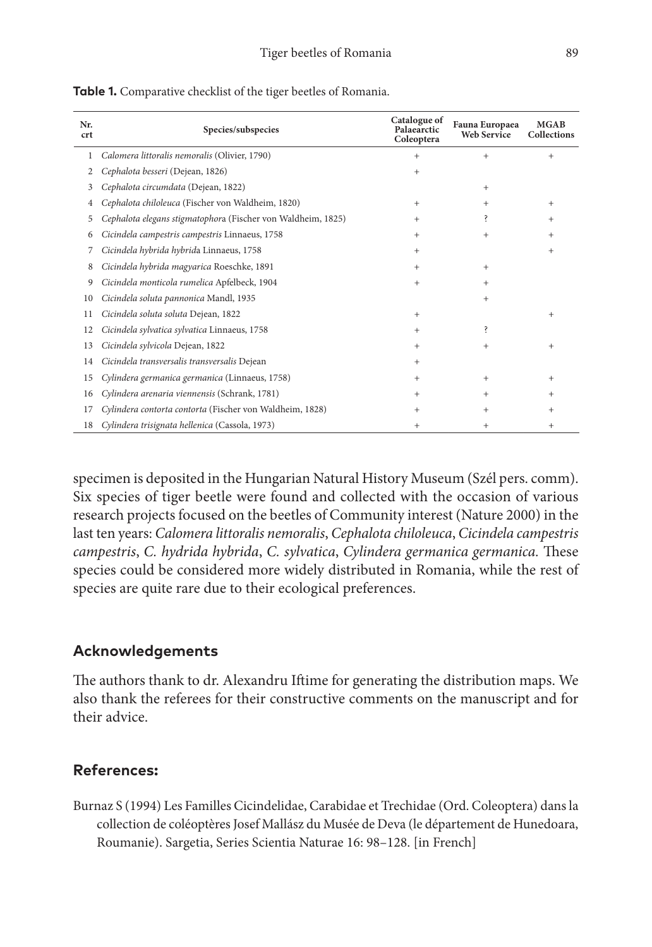| Nr.<br><b>crt</b> | Species/subspecies                                           | Catalogue of<br>Palaearctic<br>Coleoptera | Fauna Europaea<br><b>Web Service</b> | <b>MGAB</b><br><b>Collections</b> |
|-------------------|--------------------------------------------------------------|-------------------------------------------|--------------------------------------|-----------------------------------|
| 1                 | Calomera littoralis nemoralis (Olivier, 1790)                | $+$                                       | $+$                                  | $^{+}$                            |
| 2                 | Cephalota besseri (Dejean, 1826)                             | $+$                                       |                                      |                                   |
| 3                 | Cephalota circumdata (Dejean, 1822)                          |                                           | $+$                                  |                                   |
| 4                 | Cephalota chiloleuca (Fischer von Waldheim, 1820)            | $+$                                       | $+$                                  | $+$                               |
| 5                 | Cephalota elegans stigmatophora (Fischer von Waldheim, 1825) | $+$                                       | Ş                                    | $^{+}$                            |
| 6                 | Cicindela campestris campestris Linnaeus, 1758               | $+$                                       | $+$                                  | $^{+}$                            |
| 7                 | Cicindela hybrida hybrida Linnaeus, 1758                     | $+$                                       |                                      | $^{+}$                            |
| 8                 | Cicindela hybrida magyarica Roeschke, 1891                   | $+$                                       | $+$                                  |                                   |
| 9                 | Cicindela monticola rumelica Apfelbeck, 1904                 | $+$                                       | $+$                                  |                                   |
| 10                | Cicindela soluta pannonica Mandl, 1935                       |                                           | $+$                                  |                                   |
| 11                | Cicindela soluta soluta Dejean, 1822                         | $^{+}$                                    |                                      | $^{+}$                            |
| 12                | Cicindela sylvatica sylvatica Linnaeus, 1758                 | $+$                                       | ś.                                   |                                   |
| 13                | Cicindela sylvicola Dejean, 1822                             | $+$                                       | $+$                                  | $^{+}$                            |
| 14                | Cicindela transversalis transversalis Dejean                 | $^{+}$                                    |                                      |                                   |
| 15                | Cylindera germanica germanica (Linnaeus, 1758)               | $^{+}$                                    | $+$                                  | $^{+}$                            |
| 16                | Cylindera arenaria viennensis (Schrank, 1781)                | $^{+}$                                    | $+$                                  | $^{+}$                            |
| 17                | Cylindera contorta contorta (Fischer von Waldheim, 1828)     | $^{+}$                                    | $^{+}$                               | $^{+}$                            |
| 18                | Cylindera trisignata hellenica (Cassola, 1973)               | $^{+}$                                    | $+$                                  | $^{+}$                            |

**Table 1.** Comparative checklist of the tiger beetles of Romania.

specimen is deposited in the Hungarian Natural History Museum (Szél pers. comm). Six species of tiger beetle were found and collected with the occasion of various research projects focused on the beetles of Community interest (Nature 2000) in the last ten years: *Calomera littoralis nemoralis*, *Cephalota chiloleuca*, *Cicindela campestris campestris*, *C. hydrida hybrida*, *C. sylvatica*, *Cylindera germanica germanica.* These species could be considered more widely distributed in Romania, while the rest of species are quite rare due to their ecological preferences.

# **Acknowledgements**

The authors thank to dr. Alexandru Iftime for generating the distribution maps. We also thank the referees for their constructive comments on the manuscript and for their advice.

# **References:**

Burnaz S (1994) Les Familles Cicindelidae, Carabidae et Trechidae (Ord. Coleoptera) dans la collection de coléoptères Josef Mallász du Musée de Deva (le département de Hunedoara, Roumanie). Sargetia, Series Scientia Naturae 16: 98–128. [in French]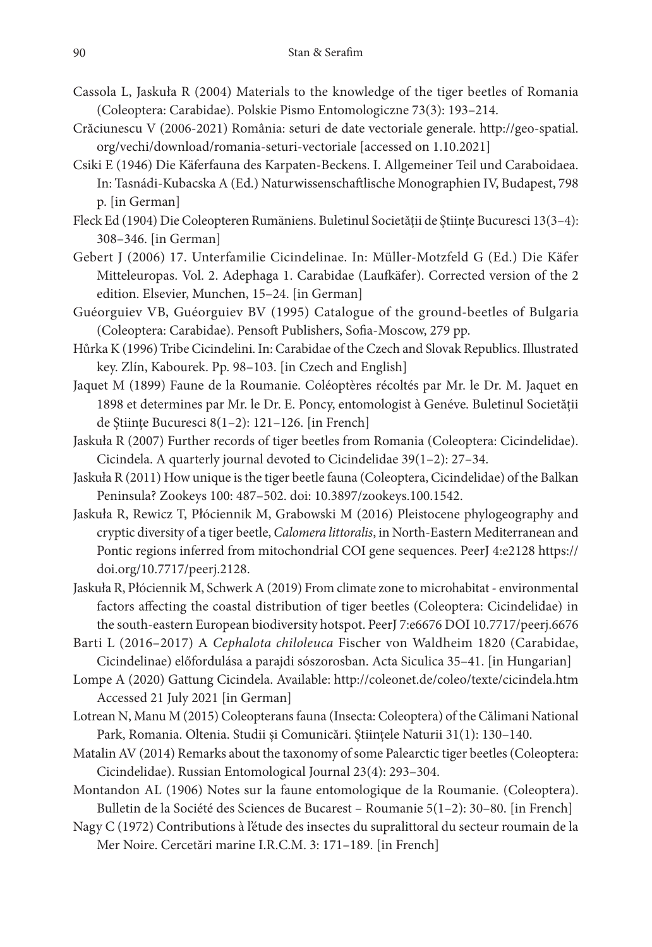- Cassola L, Jaskuła R (2004) Materials to the knowledge of the tiger beetles of Romania (Coleoptera: Carabidae). Polskie Pismo Entomologiczne 73(3): 193–214.
- Crăciunescu V (2006-2021) România: seturi de date vectoriale generale. [http://geo-spatial.](http://geo-spatial.org/vechi/download/romania-seturi-vectoriale) [org/vechi/download/romania-seturi-vectoriale](http://geo-spatial.org/vechi/download/romania-seturi-vectoriale) [accessed on 1.10.2021]
- Csiki E (1946) Die Käferfauna des Karpaten-Beckens. I. Allgemeiner Teil und Caraboidaea. In: Tasnádi-Kubacska A (Ed.) Naturwissenschaftlische Monographien IV, Budapest, 798 p. [in German]
- Fleck Ed (1904) Die Coleopteren Rumäniens. Buletinul Societății de Științe Bucuresci 13(3–4): 308–346. [in German]
- Gebert J (2006) 17. Unterfamilie Cicindelinae. In: Müller-Motzfeld G (Ed.) Die Käfer Mitteleuropas. Vol. 2. Adephaga 1. Carabidae (Laufkäfer). Corrected version of the 2 edition. Elsevier, Munchen, 15–24. [in German]
- Guéorguiev VB, Guéorguiev BV (1995) Catalogue of the ground-beetles of Bulgaria (Coleoptera: Carabidae). Pensoft Publishers, Sofia-Moscow, 279 pp.
- Hůrka K (1996) Tribe Cicindelini. In: Carabidae of the Czech and Slovak Republics. Illustrated key. Zlín, Kabourek. Pp. 98–103. [in Czech and English]
- Jaquet M (1899) Faune de la Roumanie. Coléoptères récoltés par Mr. le Dr. M. Jaquet en 1898 et determines par Mr. le Dr. E. Poncy, entomologist à Genéve. Buletinul Societății de Științe Bucuresci 8(1–2): 121–126. [in French]
- Jaskuła R (2007) Further records of tiger beetles from Romania (Coleoptera: Cicindelidae). Cicindela. A quarterly journal devoted to Cicindelidae 39(1–2): 27–34.
- Jaskuła R (2011) How unique is the tiger beetle fauna (Coleoptera, Cicindelidae) of the Balkan Peninsula? Zookeys 100: 487–502. doi: 10.3897/zookeys.100.1542.
- Jaskuła R, Rewicz T, Płóciennik M, Grabowski M (2016) Pleistocene phylogeography and cryptic diversity of a tiger beetle, *Calomera littoralis*, in North-Eastern Mediterranean and Pontic regions inferred from mitochondrial COI gene sequences. PeerJ 4:e2128 [https://](https://doi.org/10.7717/peerj.2128) [doi.org/10.7717/peerj.2128](https://doi.org/10.7717/peerj.2128).

Jaskuła R, Płóciennik M, Schwerk A (2019) From climate zone to microhabitat - environmental factors affecting the coastal distribution of tiger beetles (Coleoptera: Cicindelidae) in the south-eastern European biodiversity hotspot. PeerJ 7:e6676 DOI 10.7717/peerj.6676

- Barti L (2016–2017) A *Cephalota chiloleuca* Fischer von Waldheim 1820 (Carabidae, Cicindelinae) előfordulása a parajdi sószorosban. Acta Siculica 35–41. [in Hungarian]
- Lompe A (2020) Gattung Cicindela. Available: <http://coleonet.de/coleo/texte/cicindela.htm> Accessed 21 July 2021 [in German]
- Lotrean N, Manu M (2015) Coleopterans fauna (Insecta: Coleoptera) of the Călimani National Park, Romania. Oltenia. Studii și Comunicări. Științele Naturii 31(1): 130–140.
- Matalin AV (2014) Remarks about the taxonomy of some Palearctic tiger beetles (Coleoptera: Cicindelidae). Russian Entomological Journal 23(4): 293–304.
- Montandon AL (1906) Notes sur la faune entomologique de la Roumanie. (Coleoptera). Bulletin de la Société des Sciences de Bucarest – Roumanie 5(1–2): 30–80. [in French]
- Nagy C (1972) Contributions à l'étude des insectes du supralittoral du secteur roumain de la Mer Noire. Cercetări marine I.R.C.M. 3: 171–189. [in French]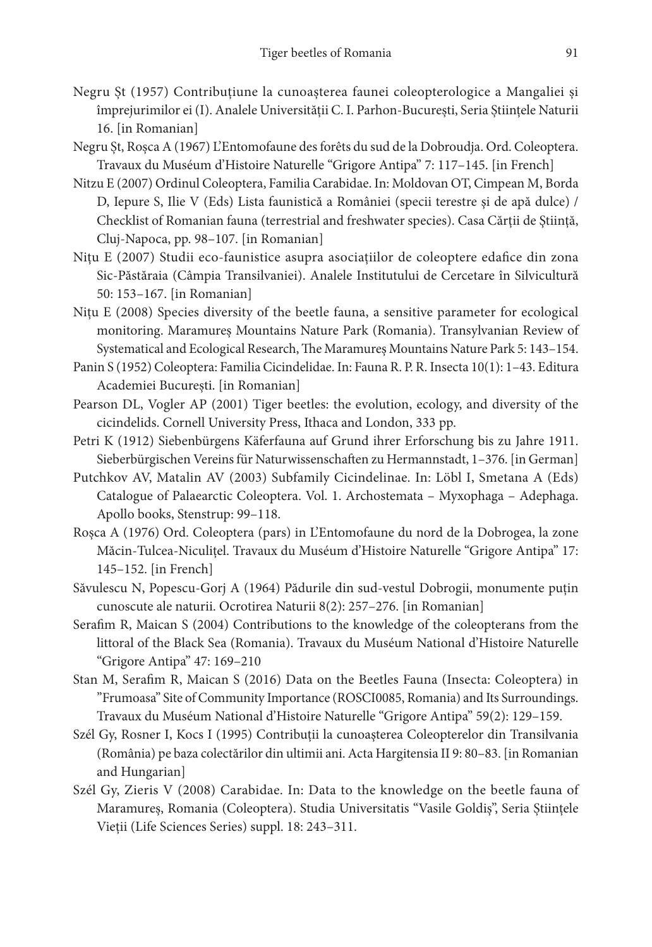- Negru Șt (1957) Contribuțiune la cunoașterea faunei coleopterologice a Mangaliei și împrejurimilor ei (I). Analele Universității C. I. Parhon-București, Seria Științele Naturii 16. [in Romanian]
- Negru Șt, Roșca A (1967) L'Entomofaune des forêts du sud de la Dobroudja. Ord. Coleoptera. Travaux du Muséum d'Histoire Naturelle "Grigore Antipa" 7: 117–145. [in French]
- Nitzu E (2007) Ordinul Coleoptera, Familia Carabidae. In: Moldovan OT, Cimpean M, Borda D, Iepure S, Ilie V (Eds) Lista faunistică a României (specii terestre şi de apă dulce) / Checklist of Romanian fauna (terrestrial and freshwater species). Casa Cărții de Știință, Cluj-Napoca, pp. 98–107. [in Romanian]
- Nițu E (2007) Studii eco-faunistice asupra asociațiilor de coleoptere edafice din zona Sic-Păstăraia (Câmpia Transilvaniei). Analele Institutului de Cercetare în Silvicultură 50: 153–167. [in Romanian]
- Nițu E (2008) Species diversity of the beetle fauna, a sensitive parameter for ecological monitoring. Maramureș Mountains Nature Park (Romania). Transylvanian Review of Systematical and Ecological Research, The Maramureș Mountains Nature Park 5: 143–154.
- Panin S (1952) Coleoptera: Familia Cicindelidae. In: Fauna R. P. R. Insecta 10(1): 1–43. Editura Academiei București. [in Romanian]
- Pearson DL, Vogler AP (2001) Tiger beetles: the evolution, ecology, and diversity of the cicindelids. Cornell University Press, Ithaca and London, 333 pp.
- Petri K (1912) Siebenbürgens Käferfauna auf Grund ihrer Erforschung bis zu Jahre 1911. Sieberbürgischen Vereins für Naturwissenschaften zu Hermannstadt, 1–376. [in German]
- Putchkov AV, Matalin AV (2003) Subfamily Cicindelinae. In: Löbl I, Smetana A (Eds) Catalogue of Palaearctic Coleoptera. Vol. 1. Archostemata – Myxophaga – Adephaga. Apollo books, Stenstrup: 99–118.
- Roșca A (1976) Ord. Coleoptera (pars) in L'Entomofaune du nord de la Dobrogea, la zone Măcin-Tulcea-Niculițel. Travaux du Muséum d'Histoire Naturelle "Grigore Antipa" 17: 145–152. [in French]
- Săvulescu N, Popescu-Gorj A (1964) Pădurile din sud-vestul Dobrogii, monumente puțin cunoscute ale naturii. Ocrotirea Naturii 8(2): 257–276. [in Romanian]
- Serafim R, Maican S (2004) Contributions to the knowledge of the coleopterans from the littoral of the Black Sea (Romania). Travaux du Muséum National d'Histoire Naturelle "Grigore Antipa" 47: 169–210
- Stan M, Serafim R, Maican S (2016) Data on the Beetles Fauna (Insecta: Coleoptera) in "Frumoasa" Site of Community Importance (ROSCI0085, Romania) and Its Surroundings. Travaux du Muséum National d'Histoire Naturelle "Grigore Antipa" 59(2): 129–159.
- Szél Gy, Rosner I, Kocs I (1995) Contribuţii la cunoaşterea Coleopterelor din Transilvania (România) pe baza colectărilor din ultimii ani. Acta Hargitensia II 9: 80–83. [in Romanian and Hungarian]
- Szél Gy, Zieris V (2008) Carabidae. In: Data to the knowledge on the beetle fauna of Maramureș, Romania (Coleoptera). Studia Universitatis "Vasile Goldiș", Seria Științele Vieții (Life Sciences Series) suppl. 18: 243–311.